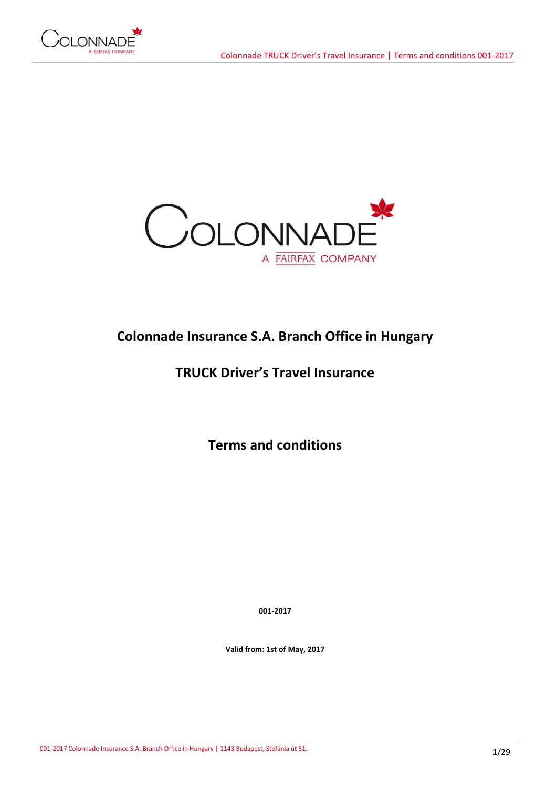



# **Colonnade Insurance S.A. Branch Office in Hungary**

# **TRUCK Driver's Travel Insurance**

**Terms and conditions**

**001-2017**

**Valid from: 1st of May, 2017**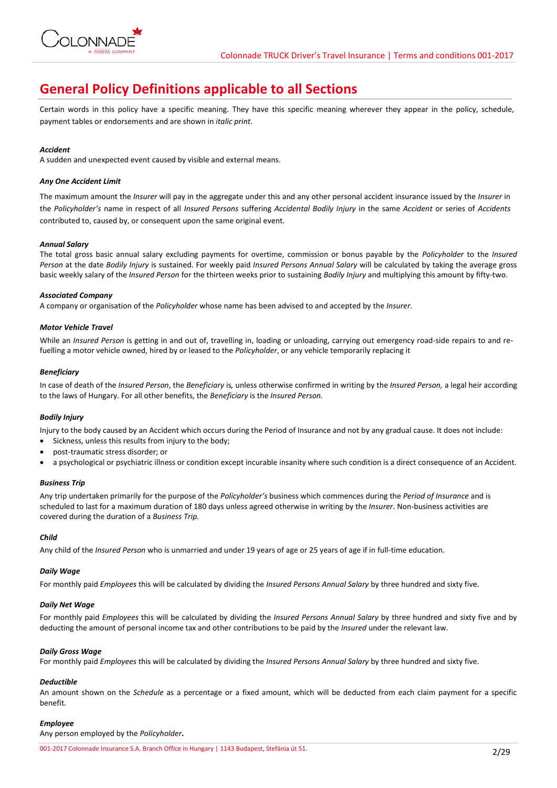

# **General Policy Definitions applicable to all Sections**

Certain words in this policy have a specific meaning. They have this specific meaning wherever they appear in the policy, schedule, payment tables or endorsements and are shown in *italic print*.

## *Accident*

A sudden and unexpected event caused by visible and external means.

## *Any One Accident Limit*

The maximum amount the *Insurer* will pay in the aggregate under this and any other personal accident insurance issued by the *Insurer* in the *Policyholder's* name in respect of all *Insured Persons* suffering *Accidental Bodily Injury* in the same *Accident* or series of *Accidents*  contributed to, caused by, or consequent upon the same original event.

## *Annual Salary*

The total gross basic annual salary excluding payments for overtime, commission or bonus payable by the *Policyholder* to the *Insured Person* at the date *Bodily Injury* is sustained. For weekly paid *Insured Persons Annual Salary* will be calculated by taking the average gross basic weekly salary of the *Insured Person* for the thirteen weeks prior to sustaining *Bodily Injury* and multiplying this amount by fifty-two.

### *Associated Company*

A company or organisation of the *Policyholder* whose name has been advised to and accepted by the *Insurer.*

### *Motor Vehicle Travel*

While an *Insured Person* is getting in and out of, travelling in, loading or unloading, carrying out emergency road-side repairs to and refuelling a motor vehicle owned, hired by or leased to the *Policyholder*, or any vehicle temporarily replacing it

### *Beneficiary*

In case of death of the *Insured Person*, the *Beneficiary* is*,* unless otherwise confirmed in writing by the *Insured Person,* a legal heir according to the laws of Hungary. For all other benefits, the *Beneficiary* is the *Insured Person.*

## *Bodily Injury*

Injury to the body caused by an Accident which occurs during the Period of Insurance and not by any gradual cause. It does not include:

- Sickness, unless this results from injury to the body;
- post-traumatic stress disorder; or
- a psychological or psychiatric illness or condition except incurable insanity where such condition is a direct consequence of an Accident.

#### *Business Trip*

Any trip undertaken primarily for the purpose of the *Policyholder's* business which commences during the *Period of Insurance* and is scheduled to last for a maximum duration of 180 days unless agreed otherwise in writing by the *Insurer*. Non-business activities are covered during the duration of a *Business Trip.*

#### *Child*

Any child of the *Insured Person* who is unmarried and under 19 years of age or 25 years of age if in full-time education.

#### *Daily Wage*

For monthly paid *Employees* this will be calculated by dividing the *Insured Persons Annual Salary* by three hundred and sixty five.

## *Daily Net Wage*

For monthly paid *Employees* this will be calculated by dividing the *Insured Persons Annual Salary* by three hundred and sixty five and by deducting the amount of personal income tax and other contributions to be paid by the *Insured* under the relevant law.

#### *Daily Gross Wage*

For monthly paid *Employees* this will be calculated by dividing the *Insured Persons Annual Salary* by three hundred and sixty five.

## *Deductible*

An amount shown on the *Schedule* as a percentage or a fixed amount, which will be deducted from each claim payment for a specific benefit*.*

## *Employee*

Any person employed by the *Policyholder***.**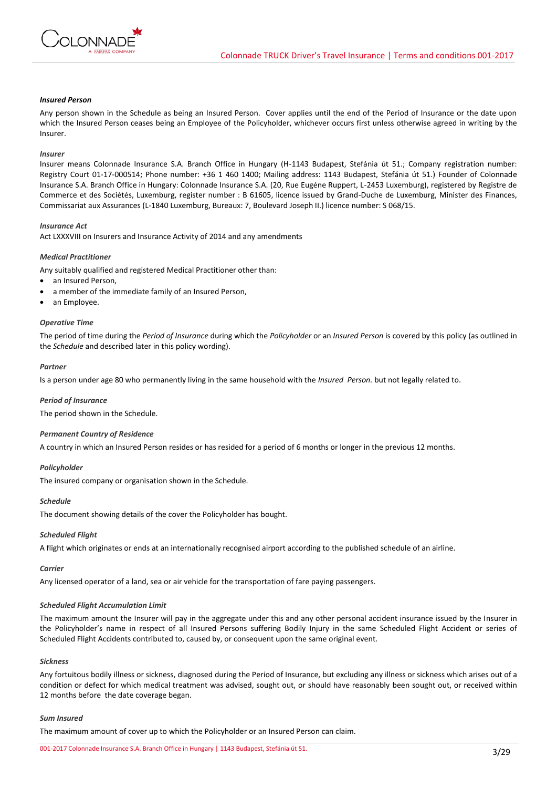

## *Insured Person*

Any person shown in the Schedule as being an Insured Person. Cover applies until the end of the Period of Insurance or the date upon which the Insured Person ceases being an Employee of the Policyholder, whichever occurs first unless otherwise agreed in writing by the Insurer.

#### *Insurer*

Insurer means Colonnade Insurance S.A. Branch Office in Hungary (H-1143 Budapest, Stefánia út 51.; Company registration number: Registry Court 01-17-000514; Phone number: +36 1 460 1400; Mailing address: 1143 Budapest, Stefánia út 51.) Founder of Colonnade Insurance S.A. Branch Office in Hungary: Colonnade Insurance S.A. (20, Rue Eugéne Ruppert, L-2453 Luxemburg), registered by Registre de Commerce et des Sociétés, Luxemburg, register number : B 61605, licence issued by Grand-Duche de Luxemburg, Minister des Finances, Commissariat aux Assurances (L-1840 Luxemburg, Bureaux: 7, Boulevard Joseph II.) licence number: S 068/15.

#### *Insurance Act*

Act LXXXVIII on Insurers and Insurance Activity of 2014 and any amendments

#### *Medical Practitioner*

Any suitably qualified and registered Medical Practitioner other than:

- an Insured Person,
- a member of the immediate family of an Insured Person,
- an Employee.

## *Operative Time*

The period of time during the *Period of Insurance* during which the *Policyholder* or an *Insured Person* is covered by this policy (as outlined in the *Schedule* and described later in this policy wording).

#### *Partner*

Is a person under age 80 who permanently living in the same household with the *Insured Person.* but not legally related to.

#### *Period of Insurance*

The period shown in the Schedule.

#### *Permanent Country of Residence*

A country in which an Insured Person resides or has resided for a period of 6 months or longer in the previous 12 months.

#### *Policyholder*

The insured company or organisation shown in the Schedule.

#### *Schedule*

The document showing details of the cover the Policyholder has bought.

#### *Scheduled Flight*

A flight which originates or ends at an internationally recognised airport according to the published schedule of an airline.

#### *Carrier*

Any licensed operator of a land, sea or air vehicle for the transportation of fare paying passengers.

#### *Scheduled Flight Accumulation Limit*

The maximum amount the Insurer will pay in the aggregate under this and any other personal accident insurance issued by the Insurer in the Policyholder's name in respect of all Insured Persons suffering Bodily Injury in the same Scheduled Flight Accident or series of Scheduled Flight Accidents contributed to, caused by, or consequent upon the same original event.

#### *Sickness*

Any fortuitous bodily illness or sickness, diagnosed during the Period of Insurance, but excluding any illness or sickness which arises out of a condition or defect for which medical treatment was advised, sought out, or should have reasonably been sought out, or received within 12 months before the date coverage began.

#### *Sum Insured*

The maximum amount of cover up to which the Policyholder or an Insured Person can claim.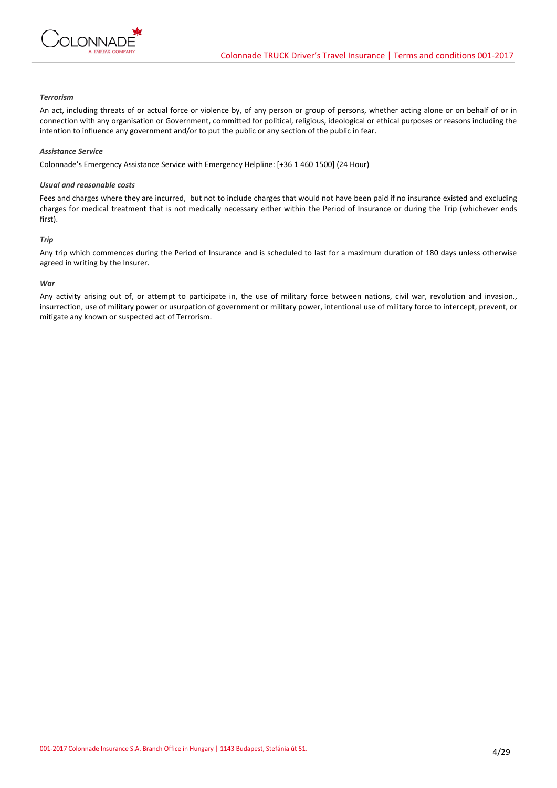

## *Terrorism*

An act, including threats of or actual force or violence by, of any person or group of persons, whether acting alone or on behalf of or in connection with any organisation or Government, committed for political, religious, ideological or ethical purposes or reasons including the intention to influence any government and/or to put the public or any section of the public in fear.

#### *Assistance Service*

Colonnade's Emergency Assistance Service with Emergency Helpline: [+36 1 460 1500] (24 Hour)

#### *Usual and reasonable costs*

Fees and charges where they are incurred, but not to include charges that would not have been paid if no insurance existed and excluding charges for medical treatment that is not medically necessary either within the Period of Insurance or during the Trip (whichever ends first).

### *Trip*

Any trip which commences during the Period of Insurance and is scheduled to last for a maximum duration of 180 days unless otherwise agreed in writing by the Insurer.

### *War*

Any activity arising out of, or attempt to participate in, the use of military force between nations, civil war, revolution and invasion., insurrection, use of military power or usurpation of government or military power, intentional use of military force to intercept, prevent, or mitigate any known or suspected act of Terrorism.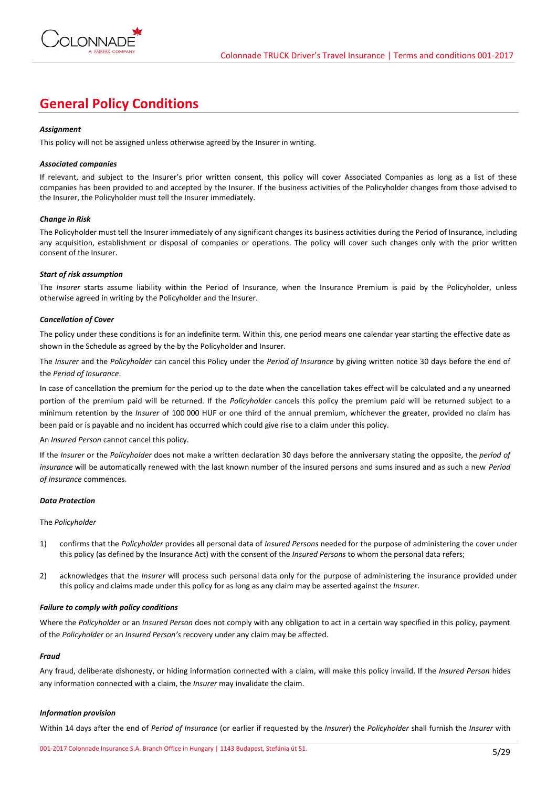

## **General Policy Conditions**

## *Assignment*

This policy will not be assigned unless otherwise agreed by the Insurer in writing.

### *Associated companies*

If relevant, and subject to the Insurer's prior written consent, this policy will cover Associated Companies as long as a list of these companies has been provided to and accepted by the Insurer. If the business activities of the Policyholder changes from those advised to the Insurer, the Policyholder must tell the Insurer immediately.

### *Change in Risk*

The Policyholder must tell the Insurer immediately of any significant changes its business activities during the Period of Insurance, including any acquisition, establishment or disposal of companies or operations. The policy will cover such changes only with the prior written consent of the Insurer.

### *Start of risk assumption*

The *Insurer* starts assume liability within the Period of Insurance, when the Insurance Premium is paid by the Policyholder, unless otherwise agreed in writing by the Policyholder and the Insurer.

### *Cancellation of Cover*

The policy under these conditions is for an indefinite term. Within this, one period means one calendar year starting the effective date as shown in the Schedule as agreed by the by the Policyholder and Insurer.

The *Insurer* and the *Policyholder* can cancel this Policy under the *Period of Insurance* by giving written notice 30 days before the end of the *Period of Insurance*.

In case of cancellation the premium for the period up to the date when the cancellation takes effect will be calculated and any unearned portion of the premium paid will be returned. If the *Policyholder* cancels this policy the premium paid will be returned subject to a minimum retention by the *Insurer* of 100 000 HUF or one third of the annual premium, whichever the greater, provided no claim has been paid or is payable and no incident has occurred which could give rise to a claim under this policy.

#### An *Insured Person* cannot cancel this policy.

If the *Insurer* or the *Policyholder* does not make a written declaration 30 days before the anniversary stating the opposite, the *period of insurance* will be automatically renewed with the last known number of the insured persons and sums insured and as such a new *Period of Insurance* commences.

#### *Data Protection*

#### The *Policyholder*

- 1) confirms that the *Policyholder* provides all personal data of *Insured Persons* needed for the purpose of administering the cover under this policy (as defined by the Insurance Act) with the consent of the *Insured Persons* to whom the personal data refers;
- 2) acknowledges that the *Insurer* will process such personal data only for the purpose of administering the insurance provided under this policy and claims made under this policy for as long as any claim may be asserted against the *Insurer*.

#### *Failure to comply with policy conditions*

Where the *Policyholder* or an *Insured Person* does not comply with any obligation to act in a certain way specified in this policy, payment of the *Policyholder* or an *Insured Person's* recovery under any claim may be affected.

#### *Fraud*

Any fraud, deliberate dishonesty, or hiding information connected with a claim, will make this policy invalid. If the *Insured Person* hides any information connected with a claim, the *Insurer* may invalidate the claim.

## *Information provision*

Within 14 days after the end of *Period of Insurance* (or earlier if requested by the *Insurer*) the *Policyholder* shall furnish the *Insurer* with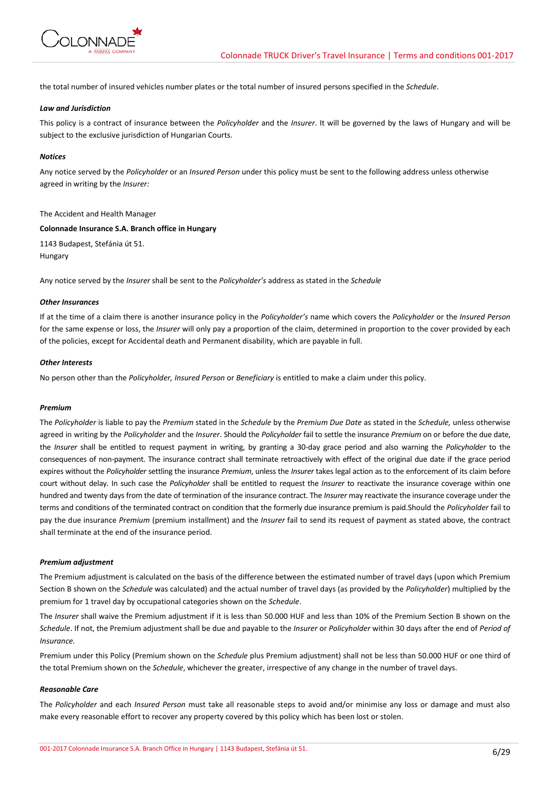

the total number of insured vehicles number plates or the total number of insured persons specified in the *Schedule*.

## *Law and Jurisdiction*

This policy is a contract of insurance between the *Policyholder* and the *Insurer*. It will be governed by the laws of Hungary and will be subject to the exclusive jurisdiction of Hungarian Courts.

#### *Notices*

Any notice served by the *Policyholder* or an *Insured Person* under this policy must be sent to the following address unless otherwise agreed in writing by the *Insurer:*

#### The Accident and Health Manager

#### **Colonnade Insurance S.A. Branch office in Hungary**

1143 Budapest, Stefánia út 51. Hungary

Any notice served by the *Insurer* shall be sent to the *Policyholder's* address as stated in the *Schedule*

### *Other Insurances*

If at the time of a claim there is another insurance policy in the *Policyholder's* name which covers the *Policyholder* or the *Insured Person* for the same expense or loss, the *Insurer* will only pay a proportion of the claim, determined in proportion to the cover provided by each of the policies, except for Accidental death and Permanent disability, which are payable in full.

## *Other Interests*

No person other than the *Policyholder, Insured Person* or *Beneficiary* is entitled to make a claim under this policy.

#### *Premium*

The *Policyholder* is liable to pay the *Premium* stated in the *Schedule* by the *Premium Due Date* as stated in the *Schedule,* unless otherwise agreed in writing by the *Policyholder* and the *Insurer*. Should the *Policyholder* fail to settle the insurance *Premium* on or before the due date, the *Insurer* shall be entitled to request payment in writing, by granting a 30-day grace period and also warning the *Policyholder* to the consequences of non-payment. The insurance contract shall terminate retroactively with effect of the original due date if the grace period expires without the *Policyholder* settling the insurance *Premium*, unless the *Insurer* takes legal action as to the enforcement of its claim before court without delay. In such case the *Policyholder* shall be entitled to request the *Insurer* to reactivate the insurance coverage within one hundred and twenty days from the date of termination of the insurance contract. The *Insurer* may reactivate the insurance coverage under the terms and conditions of the terminated contract on condition that the formerly due insurance premium is paid.Should the *Policyholder* fail to pay the due insurance *Premium* (premium installment) and the *Insurer* fail to send its request of payment as stated above, the contract shall terminate at the end of the insurance period.

#### *Premium adjustment*

The Premium adjustment is calculated on the basis of the difference between the estimated number of travel days (upon which Premium Section B shown on the *Schedule* was calculated) and the actual number of travel days (as provided by the *Policyholder*) multiplied by the premium for 1 travel day by occupational categories shown on the *Schedule*.

The *Insurer* shall waive the Premium adjustment if it is less than 50.000 HUF and less than 10% of the Premium Section B shown on the *Schedule*. If not, the Premium adjustment shall be due and payable to the *Insurer* or *Policyholder* within 30 days after the end of *Period of Insurance.*

Premium under this Policy (Premium shown on the *Schedule* plus Premium adjustment) shall not be less than 50.000 HUF or one third of the total Premium shown on the *Schedule*, whichever the greater, irrespective of any change in the number of travel days.

#### *Reasonable Care*

The *Policyholder* and each *Insured Person* must take all reasonable steps to avoid and/or minimise any loss or damage and must also make every reasonable effort to recover any property covered by this policy which has been lost or stolen.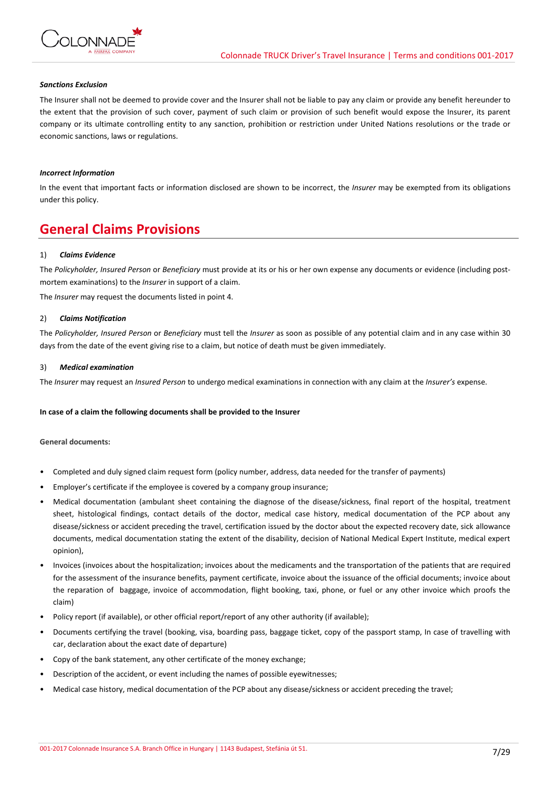

### *Sanctions Exclusion*

The Insurer shall not be deemed to provide cover and the Insurer shall not be liable to pay any claim or provide any benefit hereunder to the extent that the provision of such cover, payment of such claim or provision of such benefit would expose the Insurer, its parent company or its ultimate controlling entity to any sanction, prohibition or restriction under United Nations resolutions or the trade or economic sanctions, laws or regulations.

## *Incorrect Information*

In the event that important facts or information disclosed are shown to be incorrect, the *Insurer* may be exempted from its obligations under this policy.

## **General Claims Provisions**

### 1) *Claims Evidence*

The *Policyholder, Insured Person* or *Beneficiary* must provide at its or his or her own expense any documents or evidence (including postmortem examinations) to the *Insurer* in support of a claim.

The *Insurer* may request the documents listed in point 4.

### 2) *Claims Notification*

The *Policyholder, Insured Person* or *Beneficiary* must tell the *Insurer* as soon as possible of any potential claim and in any case within 30 days from the date of the event giving rise to a claim, but notice of death must be given immediately.

#### 3) *Medical examination*

The *Insurer* may request an *Insured Person* to undergo medical examinations in connection with any claim at the *Insurer's* expense.

#### **In case of a claim the following documents shall be provided to the Insurer**

#### **General documents:**

- Completed and duly signed claim request form (policy number, address, data needed for the transfer of payments)
- Employer's certificate if the employee is covered by a company group insurance;
- Medical documentation (ambulant sheet containing the diagnose of the disease/sickness, final report of the hospital, treatment sheet, histological findings, contact details of the doctor, medical case history, medical documentation of the PCP about any disease/sickness or accident preceding the travel, certification issued by the doctor about the expected recovery date, sick allowance documents, medical documentation stating the extent of the disability, decision of National Medical Expert Institute, medical expert opinion),
- Invoices (invoices about the hospitalization; invoices about the medicaments and the transportation of the patients that are required for the assessment of the insurance benefits, payment certificate, invoice about the issuance of the official documents; invoice about the reparation of baggage, invoice of accommodation, flight booking, taxi, phone, or fuel or any other invoice which proofs the claim)
- Policy report (if available), or other official report/report of any other authority (if available);
- Documents certifying the travel (booking, visa, boarding pass, baggage ticket, copy of the passport stamp, In case of travelling with car, declaration about the exact date of departure)
- Copy of the bank statement, any other certificate of the money exchange;
- Description of the accident, or event including the names of possible eyewitnesses;
- Medical case history, medical documentation of the PCP about any disease/sickness or accident preceding the travel;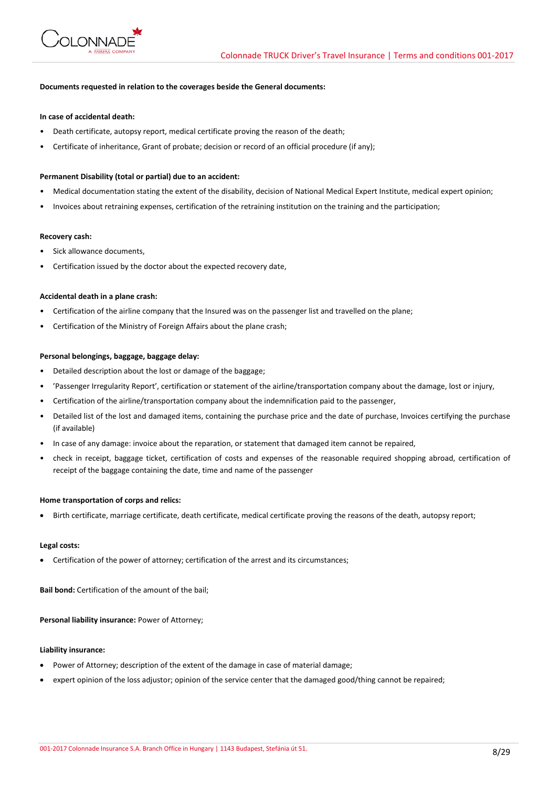

## **Documents requested in relation to the coverages beside the General documents:**

### **In case of accidental death:**

- Death certificate, autopsy report, medical certificate proving the reason of the death;
- Certificate of inheritance, Grant of probate; decision or record of an official procedure (if any);

#### **Permanent Disability (total or partial) due to an accident:**

- Medical documentation stating the extent of the disability, decision of National Medical Expert Institute, medical expert opinion;
- Invoices about retraining expenses, certification of the retraining institution on the training and the participation;

#### **Recovery cash:**

- Sick allowance documents,
- Certification issued by the doctor about the expected recovery date,

#### **Accidental death in a plane crash:**

- Certification of the airline company that the Insured was on the passenger list and travelled on the plane;
- Certification of the Ministry of Foreign Affairs about the plane crash;

### **Personal belongings, baggage, baggage delay:**

- Detailed description about the lost or damage of the baggage;
- 'Passenger Irregularity Report', certification or statement of the airline/transportation company about the damage, lost or injury,
- Certification of the airline/transportation company about the indemnification paid to the passenger,
- Detailed list of the lost and damaged items, containing the purchase price and the date of purchase, Invoices certifying the purchase (if available)
- In case of any damage: invoice about the reparation, or statement that damaged item cannot be repaired,
- check in receipt, baggage ticket, certification of costs and expenses of the reasonable required shopping abroad, certification of receipt of the baggage containing the date, time and name of the passenger

#### **Home transportation of corps and relics:**

Birth certificate, marriage certificate, death certificate, medical certificate proving the reasons of the death, autopsy report;

#### **Legal costs:**

Certification of the power of attorney; certification of the arrest and its circumstances;

**Bail bond:** Certification of the amount of the bail;

#### **Personal liability insurance:** Power of Attorney;

### **Liability insurance:**

- Power of Attorney; description of the extent of the damage in case of material damage;
- expert opinion of the loss adjustor; opinion of the service center that the damaged good/thing cannot be repaired;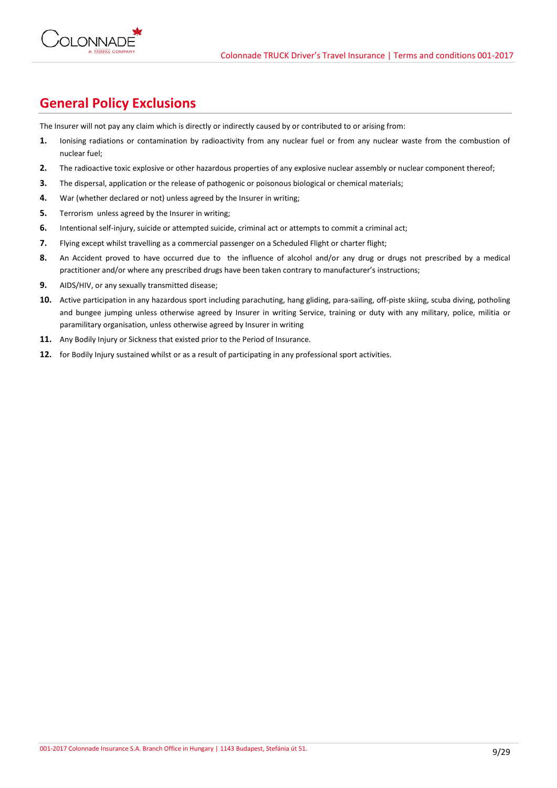

## **General Policy Exclusions**

The Insurer will not pay any claim which is directly or indirectly caused by or contributed to or arising from:

- **1.** Ionising radiations or contamination by radioactivity from any nuclear fuel or from any nuclear waste from the combustion of nuclear fuel;
- **2.** The radioactive toxic explosive or other hazardous properties of any explosive nuclear assembly or nuclear component thereof;
- **3.** The dispersal, application or the release of pathogenic or poisonous biological or chemical materials;
- **4.** War (whether declared or not) unless agreed by the Insurer in writing;
- **5.** Terrorism unless agreed by the Insurer in writing;
- **6.** Intentional self-injury, suicide or attempted suicide, criminal act or attempts to commit a criminal act;
- **7.** Flying except whilst travelling as a commercial passenger on a Scheduled Flight or charter flight;
- **8.** An Accident proved to have occurred due to the influence of alcohol and/or any drug or drugs not prescribed by a medical practitioner and/or where any prescribed drugs have been taken contrary to manufacturer's instructions;
- **9.** AIDS/HIV, or any sexually transmitted disease;
- 10. Active participation in any hazardous sport including parachuting, hang gliding, para-sailing, off-piste skiing, scuba diving, potholing and bungee jumping unless otherwise agreed by Insurer in writing Service, training or duty with any military, police, militia or paramilitary organisation, unless otherwise agreed by Insurer in writing
- **11.** Any Bodily Injury or Sickness that existed prior to the Period of Insurance.
- **12.** for Bodily Injury sustained whilst or as a result of participating in any professional sport activities.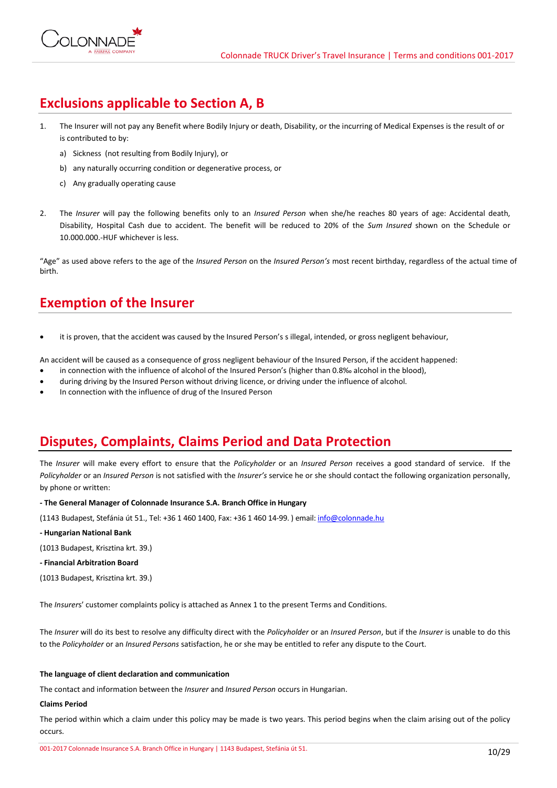# **Exclusions applicable to Section A, B**

- 1. The Insurer will not pay any Benefit where Bodily Injury or death, Disability, or the incurring of Medical Expenses is the result of or is contributed to by:
	- a) Sickness (not resulting from Bodily Injury), or
	- b) any naturally occurring condition or degenerative process, or
	- c) Any gradually operating cause
- 2. The *Insurer* will pay the following benefits only to an *Insured Person* when she/he reaches 80 years of age: Accidental death, Disability, Hospital Cash due to accident. The benefit will be reduced to 20% of the *Sum Insured* shown on the Schedule or 10.000.000.-HUF whichever is less.

"Age" as used above refers to the age of the *Insured Person* on the *Insured Person's* most recent birthday, regardless of the actual time of birth.

# **Exemption of the Insurer**

it is proven, that the accident was caused by the Insured Person's s illegal, intended, or gross negligent behaviour,

An accident will be caused as a consequence of gross negligent behaviour of the Insured Person, if the accident happened:

- in connection with the influence of alcohol of the Insured Person's (higher than 0.8‰ alcohol in the blood),
- during driving by the Insured Person without driving licence, or driving under the influence of alcohol.
- In connection with the influence of drug of the Insured Person

# **Disputes, Complaints, Claims Period and Data Protection**

The *Insurer* will make every effort to ensure that the *Policyholder* or an *Insured Person* receives a good standard of service. If the *Policyholder* or an *Insured Person* is not satisfied with the *Insurer's* service he or she should contact the following organization personally, by phone or written:

**- The General Manager of Colonnade Insurance S.A. Branch Office in Hungary**

(1143 Budapest, Stefánia út 51., Tel: +36 1 460 1400, Fax: +36 1 460 14-99. ) email[: info@colonnade.hu](mailto:info@colonnade.hu)

**- Hungarian National Bank**

(1013 Budapest, Krisztina krt. 39.)

- **- Financial Arbitration Board**
- (1013 Budapest, Krisztina krt. 39.)

The *Insurer*s' customer complaints policy is attached as Annex 1 to the present Terms and Conditions.

The *Insurer* will do its best to resolve any difficulty direct with the *Policyholder* or an *Insured Person*, but if the *Insurer* is unable to do this to the *Policyholder* or an *Insured Persons* satisfaction, he or she may be entitled to refer any dispute to the Court.

## **The language of client declaration and communication**

The contact and information between the *Insurer* and *Insured Person* occurs in Hungarian.

## **Claims Period**

The period within which a claim under this policy may be made is two years. This period begins when the claim arising out of the policy occurs.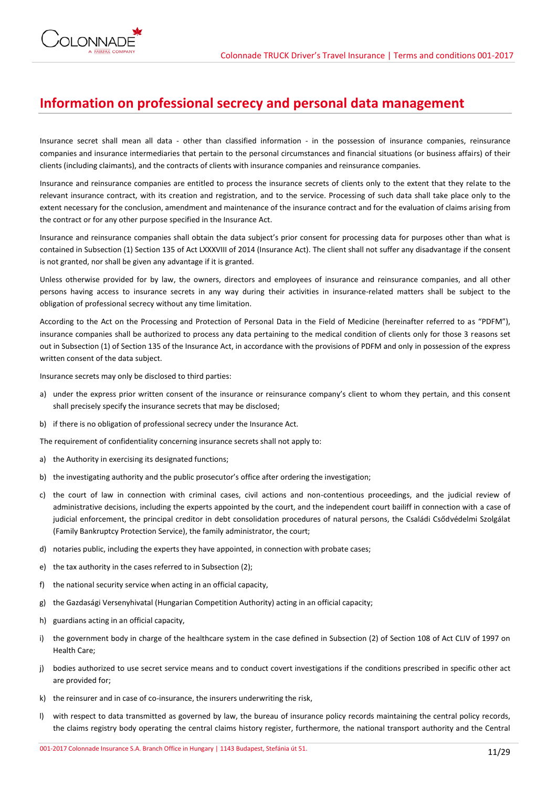

## **Information on professional secrecy and personal data management**

Insurance secret shall mean all data - other than classified information - in the possession of insurance companies, reinsurance companies and insurance intermediaries that pertain to the personal circumstances and financial situations (or business affairs) of their clients (including claimants), and the contracts of clients with insurance companies and reinsurance companies.

Insurance and reinsurance companies are entitled to process the insurance secrets of clients only to the extent that they relate to the relevant insurance contract, with its creation and registration, and to the service. Processing of such data shall take place only to the extent necessary for the conclusion, amendment and maintenance of the insurance contract and for the evaluation of claims arising from the contract or for any other purpose specified in the Insurance Act.

Insurance and reinsurance companies shall obtain the data subject's prior consent for processing data for purposes other than what is contained in Subsection (1) Section 135 of Act LXXXVIII of 2014 (Insurance Act). The client shall not suffer any disadvantage if the consent is not granted, nor shall be given any advantage if it is granted.

Unless otherwise provided for by law, the owners, directors and employees of insurance and reinsurance companies, and all other persons having access to insurance secrets in any way during their activities in insurance-related matters shall be subject to the obligation of professional secrecy without any time limitation.

According to the Act on the Processing and Protection of Personal Data in the Field of Medicine (hereinafter referred to as "PDFM"), insurance companies shall be authorized to process any data pertaining to the medical condition of clients only for those 3 reasons set out in Subsection (1) of Section 135 of the Insurance Act, in accordance with the provisions of PDFM and only in possession of the express written consent of the data subject.

Insurance secrets may only be disclosed to third parties:

- a) under the express prior written consent of the insurance or reinsurance company's client to whom they pertain, and this consent shall precisely specify the insurance secrets that may be disclosed;
- b) if there is no obligation of professional secrecy under the Insurance Act.

The requirement of confidentiality concerning insurance secrets shall not apply to:

- a) the Authority in exercising its designated functions;
- b) the investigating authority and the public prosecutor's office after ordering the investigation;
- c) the court of law in connection with criminal cases, civil actions and non-contentious proceedings, and the judicial review of administrative decisions, including the experts appointed by the court, and the independent court bailiff in connection with a case of judicial enforcement, the principal creditor in debt consolidation procedures of natural persons, the Családi Csődvédelmi Szolgálat (Family Bankruptcy Protection Service), the family administrator, the court;
- d) notaries public, including the experts they have appointed, in connection with probate cases;
- e) the tax authority in the cases referred to in Subsection (2);
- f) the national security service when acting in an official capacity,
- g) the Gazdasági Versenyhivatal (Hungarian Competition Authority) acting in an official capacity;
- h) guardians acting in an official capacity,
- i) the government body in charge of the healthcare system in the case defined in Subsection (2) of Section 108 of Act CLIV of 1997 on Health Care;
- j) bodies authorized to use secret service means and to conduct covert investigations if the conditions prescribed in specific other act are provided for;
- k) the reinsurer and in case of co-insurance, the insurers underwriting the risk,
- l) with respect to data transmitted as governed by law, the bureau of insurance policy records maintaining the central policy records, the claims registry body operating the central claims history register, furthermore, the national transport authority and the Central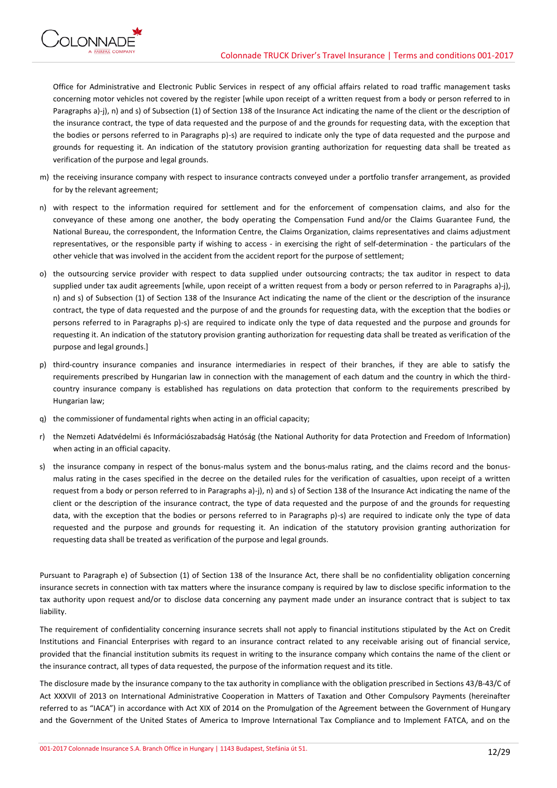

Office for Administrative and Electronic Public Services in respect of any official affairs related to road traffic management tasks concerning motor vehicles not covered by the register [while upon receipt of a written request from a body or person referred to in Paragraphs a)-j), n) and s) of Subsection (1) of Section 138 of the Insurance Act indicating the name of the client or the description of the insurance contract, the type of data requested and the purpose of and the grounds for requesting data, with the exception that the bodies or persons referred to in Paragraphs p)-s) are required to indicate only the type of data requested and the purpose and grounds for requesting it. An indication of the statutory provision granting authorization for requesting data shall be treated as verification of the purpose and legal grounds.

- m) the receiving insurance company with respect to insurance contracts conveyed under a portfolio transfer arrangement, as provided for by the relevant agreement;
- n) with respect to the information required for settlement and for the enforcement of compensation claims, and also for the conveyance of these among one another, the body operating the Compensation Fund and/or the Claims Guarantee Fund, the National Bureau, the correspondent, the Information Centre, the Claims Organization, claims representatives and claims adjustment representatives, or the responsible party if wishing to access - in exercising the right of self-determination - the particulars of the other vehicle that was involved in the accident from the accident report for the purpose of settlement;
- o) the outsourcing service provider with respect to data supplied under outsourcing contracts; the tax auditor in respect to data supplied under tax audit agreements [while, upon receipt of a written request from a body or person referred to in Paragraphs a)-j), n) and s) of Subsection (1) of Section 138 of the Insurance Act indicating the name of the client or the description of the insurance contract, the type of data requested and the purpose of and the grounds for requesting data, with the exception that the bodies or persons referred to in Paragraphs p)-s) are required to indicate only the type of data requested and the purpose and grounds for requesting it. An indication of the statutory provision granting authorization for requesting data shall be treated as verification of the purpose and legal grounds.]
- p) third-country insurance companies and insurance intermediaries in respect of their branches, if they are able to satisfy the requirements prescribed by Hungarian law in connection with the management of each datum and the country in which the thirdcountry insurance company is established has regulations on data protection that conform to the requirements prescribed by Hungarian law;
- q) the commissioner of fundamental rights when acting in an official capacity;
- r) the Nemzeti Adatvédelmi és Információszabadság Hatóság (the National Authority for data Protection and Freedom of Information) when acting in an official capacity.
- s) the insurance company in respect of the bonus-malus system and the bonus-malus rating, and the claims record and the bonusmalus rating in the cases specified in the decree on the detailed rules for the verification of casualties, upon receipt of a written request from a body or person referred to in Paragraphs a)-j), n) and s) of Section 138 of the Insurance Act indicating the name of the client or the description of the insurance contract, the type of data requested and the purpose of and the grounds for requesting data, with the exception that the bodies or persons referred to in Paragraphs p)-s) are required to indicate only the type of data requested and the purpose and grounds for requesting it. An indication of the statutory provision granting authorization for requesting data shall be treated as verification of the purpose and legal grounds.

Pursuant to Paragraph e) of Subsection (1) of Section 138 of the Insurance Act, there shall be no confidentiality obligation concerning insurance secrets in connection with tax matters where the insurance company is required by law to disclose specific information to the tax authority upon request and/or to disclose data concerning any payment made under an insurance contract that is subject to tax liability.

The requirement of confidentiality concerning insurance secrets shall not apply to financial institutions stipulated by the Act on Credit Institutions and Financial Enterprises with regard to an insurance contract related to any receivable arising out of financial service, provided that the financial institution submits its request in writing to the insurance company which contains the name of the client or the insurance contract, all types of data requested, the purpose of the information request and its title.

The disclosure made by the insurance company to the tax authority in compliance with the obligation prescribed in Sections 43/B-43/C of Act XXXVII of 2013 on International Administrative Cooperation in Matters of Taxation and Other Compulsory Payments (hereinafter referred to as "IACA") in accordance with Act XIX of 2014 on the Promulgation of the Agreement between the Government of Hungary and the Government of the United States of America to Improve International Tax Compliance and to Implement FATCA, and on the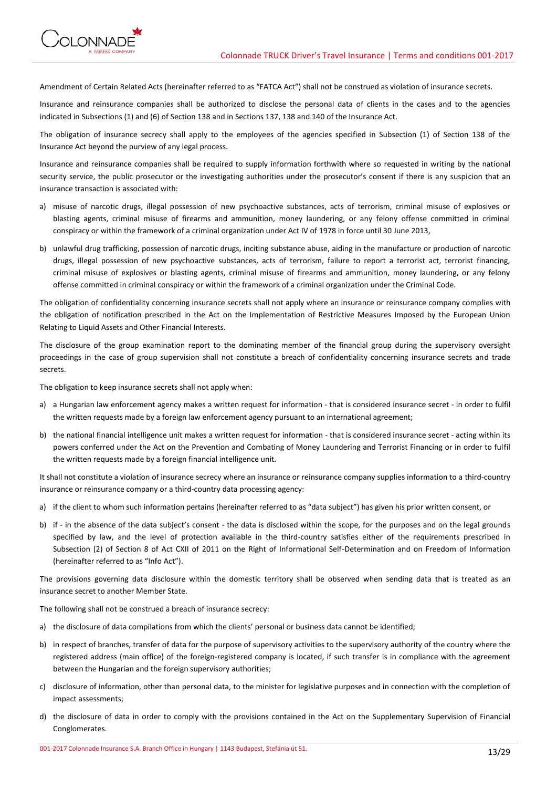

Amendment of Certain Related Acts (hereinafter referred to as "FATCA Act") shall not be construed as violation of insurance secrets.

Insurance and reinsurance companies shall be authorized to disclose the personal data of clients in the cases and to the agencies indicated in Subsections (1) and (6) of Section 138 and in Sections 137, 138 and 140 of the Insurance Act.

The obligation of insurance secrecy shall apply to the employees of the agencies specified in Subsection (1) of Section 138 of the Insurance Act beyond the purview of any legal process.

Insurance and reinsurance companies shall be required to supply information forthwith where so requested in writing by the national security service, the public prosecutor or the investigating authorities under the prosecutor's consent if there is any suspicion that an insurance transaction is associated with:

- a) misuse of narcotic drugs, illegal possession of new psychoactive substances, acts of terrorism, criminal misuse of explosives or blasting agents, criminal misuse of firearms and ammunition, money laundering, or any felony offense committed in criminal conspiracy or within the framework of a criminal organization under Act IV of 1978 in force until 30 June 2013,
- b) unlawful drug trafficking, possession of narcotic drugs, inciting substance abuse, aiding in the manufacture or production of narcotic drugs, illegal possession of new psychoactive substances, acts of terrorism, failure to report a terrorist act, terrorist financing, criminal misuse of explosives or blasting agents, criminal misuse of firearms and ammunition, money laundering, or any felony offense committed in criminal conspiracy or within the framework of a criminal organization under the Criminal Code.

The obligation of confidentiality concerning insurance secrets shall not apply where an insurance or reinsurance company complies with the obligation of notification prescribed in the Act on the Implementation of Restrictive Measures Imposed by the European Union Relating to Liquid Assets and Other Financial Interests.

The disclosure of the group examination report to the dominating member of the financial group during the supervisory oversight proceedings in the case of group supervision shall not constitute a breach of confidentiality concerning insurance secrets and trade secrets.

The obligation to keep insurance secrets shall not apply when:

- a) a Hungarian law enforcement agency makes a written request for information that is considered insurance secret in order to fulfil the written requests made by a foreign law enforcement agency pursuant to an international agreement;
- b) the national financial intelligence unit makes a written request for information that is considered insurance secret acting within its powers conferred under the Act on the Prevention and Combating of Money Laundering and Terrorist Financing or in order to fulfil the written requests made by a foreign financial intelligence unit.

It shall not constitute a violation of insurance secrecy where an insurance or reinsurance company supplies information to a third-country insurance or reinsurance company or a third-country data processing agency:

- a) if the client to whom such information pertains (hereinafter referred to as "data subject") has given his prior written consent, or
- b) if in the absence of the data subject's consent the data is disclosed within the scope, for the purposes and on the legal grounds specified by law, and the level of protection available in the third-country satisfies either of the requirements prescribed in Subsection (2) of Section 8 of Act CXII of 2011 on the Right of Informational Self-Determination and on Freedom of Information (hereinafter referred to as "Info Act").

The provisions governing data disclosure within the domestic territory shall be observed when sending data that is treated as an insurance secret to another Member State.

The following shall not be construed a breach of insurance secrecy:

- a) the disclosure of data compilations from which the clients' personal or business data cannot be identified;
- b) in respect of branches, transfer of data for the purpose of supervisory activities to the supervisory authority of the country where the registered address (main office) of the foreign-registered company is located, if such transfer is in compliance with the agreement between the Hungarian and the foreign supervisory authorities;
- c) disclosure of information, other than personal data, to the minister for legislative purposes and in connection with the completion of impact assessments;
- d) the disclosure of data in order to comply with the provisions contained in the Act on the Supplementary Supervision of Financial Conglomerates.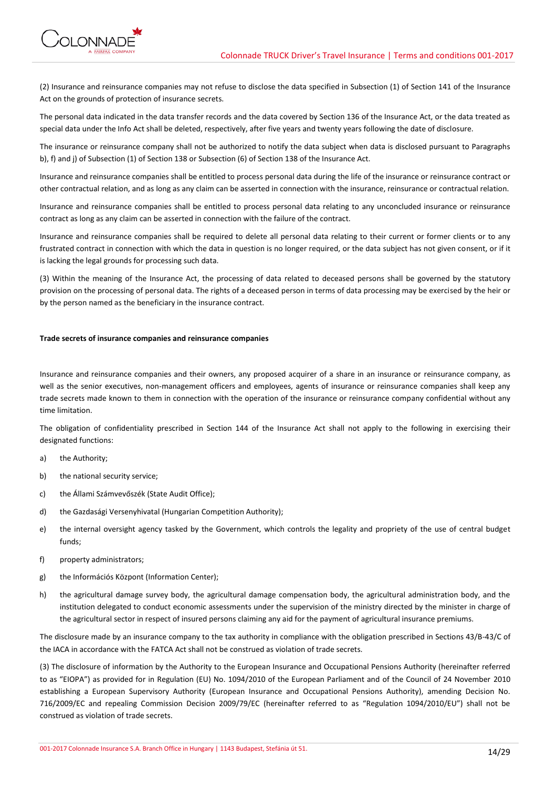

(2) Insurance and reinsurance companies may not refuse to disclose the data specified in Subsection (1) of Section 141 of the Insurance Act on the grounds of protection of insurance secrets.

The personal data indicated in the data transfer records and the data covered by Section 136 of the Insurance Act, or the data treated as special data under the Info Act shall be deleted, respectively, after five years and twenty years following the date of disclosure.

The insurance or reinsurance company shall not be authorized to notify the data subject when data is disclosed pursuant to Paragraphs b), f) and j) of Subsection (1) of Section 138 or Subsection (6) of Section 138 of the Insurance Act.

Insurance and reinsurance companies shall be entitled to process personal data during the life of the insurance or reinsurance contract or other contractual relation, and as long as any claim can be asserted in connection with the insurance, reinsurance or contractual relation.

Insurance and reinsurance companies shall be entitled to process personal data relating to any unconcluded insurance or reinsurance contract as long as any claim can be asserted in connection with the failure of the contract.

Insurance and reinsurance companies shall be required to delete all personal data relating to their current or former clients or to any frustrated contract in connection with which the data in question is no longer required, or the data subject has not given consent, or if it is lacking the legal grounds for processing such data.

(3) Within the meaning of the Insurance Act, the processing of data related to deceased persons shall be governed by the statutory provision on the processing of personal data. The rights of a deceased person in terms of data processing may be exercised by the heir or by the person named as the beneficiary in the insurance contract.

#### **Trade secrets of insurance companies and reinsurance companies**

Insurance and reinsurance companies and their owners, any proposed acquirer of a share in an insurance or reinsurance company, as well as the senior executives, non-management officers and employees, agents of insurance or reinsurance companies shall keep any trade secrets made known to them in connection with the operation of the insurance or reinsurance company confidential without any time limitation.

The obligation of confidentiality prescribed in Section 144 of the Insurance Act shall not apply to the following in exercising their designated functions:

- a) the Authority;
- b) the national security service;
- c) the Állami Számvevőszék (State Audit Office);
- d) the Gazdasági Versenyhivatal (Hungarian Competition Authority);
- e) the internal oversight agency tasked by the Government, which controls the legality and propriety of the use of central budget funds;
- f) property administrators;
- g) the Információs Központ (Information Center);
- h) the agricultural damage survey body, the agricultural damage compensation body, the agricultural administration body, and the institution delegated to conduct economic assessments under the supervision of the ministry directed by the minister in charge of the agricultural sector in respect of insured persons claiming any aid for the payment of agricultural insurance premiums.

The disclosure made by an insurance company to the tax authority in compliance with the obligation prescribed in Sections 43/B-43/C of the IACA in accordance with the FATCA Act shall not be construed as violation of trade secrets.

(3) The disclosure of information by the Authority to the European Insurance and Occupational Pensions Authority (hereinafter referred to as "EIOPA") as provided for in Regulation (EU) No. 1094/2010 of the European Parliament and of the Council of 24 November 2010 establishing a European Supervisory Authority (European Insurance and Occupational Pensions Authority), amending Decision No. 716/2009/EC and repealing Commission Decision 2009/79/EC (hereinafter referred to as "Regulation 1094/2010/EU") shall not be construed as violation of trade secrets.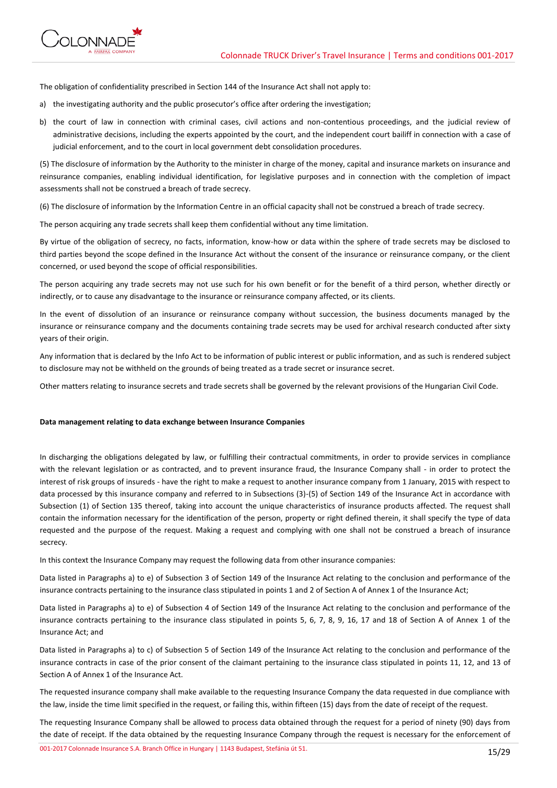

The obligation of confidentiality prescribed in Section 144 of the Insurance Act shall not apply to:

- a) the investigating authority and the public prosecutor's office after ordering the investigation;
- b) the court of law in connection with criminal cases, civil actions and non-contentious proceedings, and the judicial review of administrative decisions, including the experts appointed by the court, and the independent court bailiff in connection with a case of judicial enforcement, and to the court in local government debt consolidation procedures.

(5) The disclosure of information by the Authority to the minister in charge of the money, capital and insurance markets on insurance and reinsurance companies, enabling individual identification, for legislative purposes and in connection with the completion of impact assessments shall not be construed a breach of trade secrecy.

(6) The disclosure of information by the Information Centre in an official capacity shall not be construed a breach of trade secrecy.

The person acquiring any trade secrets shall keep them confidential without any time limitation.

By virtue of the obligation of secrecy, no facts, information, know-how or data within the sphere of trade secrets may be disclosed to third parties beyond the scope defined in the Insurance Act without the consent of the insurance or reinsurance company, or the client concerned, or used beyond the scope of official responsibilities.

The person acquiring any trade secrets may not use such for his own benefit or for the benefit of a third person, whether directly or indirectly, or to cause any disadvantage to the insurance or reinsurance company affected, or its clients.

In the event of dissolution of an insurance or reinsurance company without succession, the business documents managed by the insurance or reinsurance company and the documents containing trade secrets may be used for archival research conducted after sixty years of their origin.

Any information that is declared by the Info Act to be information of public interest or public information, and as such is rendered subject to disclosure may not be withheld on the grounds of being treated as a trade secret or insurance secret.

Other matters relating to insurance secrets and trade secrets shall be governed by the relevant provisions of the Hungarian Civil Code.

## **Data management relating to data exchange between Insurance Companies**

In discharging the obligations delegated by law, or fulfilling their contractual commitments, in order to provide services in compliance with the relevant legislation or as contracted, and to prevent insurance fraud, the Insurance Company shall - in order to protect the interest of risk groups of insureds - have the right to make a request to another insurance company from 1 January, 2015 with respect to data processed by this insurance company and referred to in Subsections (3)-(5) of Section 149 of the Insurance Act in accordance with Subsection (1) of Section 135 thereof, taking into account the unique characteristics of insurance products affected. The request shall contain the information necessary for the identification of the person, property or right defined therein, it shall specify the type of data requested and the purpose of the request. Making a request and complying with one shall not be construed a breach of insurance secrecy.

In this context the Insurance Company may request the following data from other insurance companies:

Data listed in Paragraphs a) to e) of Subsection 3 of Section 149 of the Insurance Act relating to the conclusion and performance of the insurance contracts pertaining to the insurance class stipulated in points 1 and 2 of Section A of Annex 1 of the Insurance Act;

Data listed in Paragraphs a) to e) of Subsection 4 of Section 149 of the Insurance Act relating to the conclusion and performance of the insurance contracts pertaining to the insurance class stipulated in points 5, 6, 7, 8, 9, 16, 17 and 18 of Section A of Annex 1 of the Insurance Act; and

Data listed in Paragraphs a) to c) of Subsection 5 of Section 149 of the Insurance Act relating to the conclusion and performance of the insurance contracts in case of the prior consent of the claimant pertaining to the insurance class stipulated in points 11, 12, and 13 of Section A of Annex 1 of the Insurance Act.

The requested insurance company shall make available to the requesting Insurance Company the data requested in due compliance with the law, inside the time limit specified in the request, or failing this, within fifteen (15) days from the date of receipt of the request.

The requesting Insurance Company shall be allowed to process data obtained through the request for a period of ninety (90) days from the date of receipt. If the data obtained by the requesting Insurance Company through the request is necessary for the enforcement of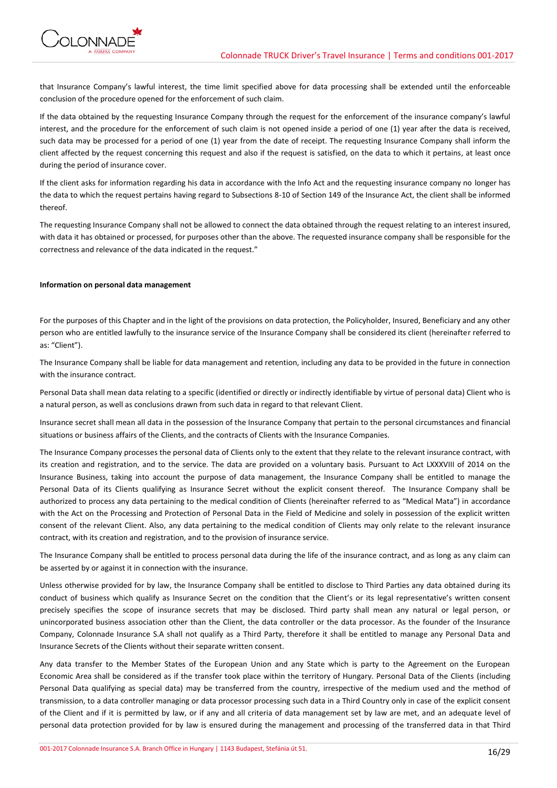

that Insurance Company's lawful interest, the time limit specified above for data processing shall be extended until the enforceable conclusion of the procedure opened for the enforcement of such claim.

If the data obtained by the requesting Insurance Company through the request for the enforcement of the insurance company's lawful interest, and the procedure for the enforcement of such claim is not opened inside a period of one (1) year after the data is received, such data may be processed for a period of one (1) year from the date of receipt. The requesting Insurance Company shall inform the client affected by the request concerning this request and also if the request is satisfied, on the data to which it pertains, at least once during the period of insurance cover.

If the client asks for information regarding his data in accordance with the Info Act and the requesting insurance company no longer has the data to which the request pertains having regard to Subsections 8-10 of Section 149 of the Insurance Act, the client shall be informed thereof.

The requesting Insurance Company shall not be allowed to connect the data obtained through the request relating to an interest insured, with data it has obtained or processed, for purposes other than the above. The requested insurance company shall be responsible for the correctness and relevance of the data indicated in the request."

### **Information on personal data management**

For the purposes of this Chapter and in the light of the provisions on data protection, the Policyholder, Insured, Beneficiary and any other person who are entitled lawfully to the insurance service of the Insurance Company shall be considered its client (hereinafter referred to as: "Client").

The Insurance Company shall be liable for data management and retention, including any data to be provided in the future in connection with the insurance contract.

Personal Data shall mean data relating to a specific (identified or directly or indirectly identifiable by virtue of personal data) Client who is a natural person, as well as conclusions drawn from such data in regard to that relevant Client.

Insurance secret shall mean all data in the possession of the Insurance Company that pertain to the personal circumstances and financial situations or business affairs of the Clients, and the contracts of Clients with the Insurance Companies.

The Insurance Company processes the personal data of Clients only to the extent that they relate to the relevant insurance contract, with its creation and registration, and to the service. The data are provided on a voluntary basis. Pursuant to Act LXXXVIII of 2014 on the Insurance Business, taking into account the purpose of data management, the Insurance Company shall be entitled to manage the Personal Data of its Clients qualifying as Insurance Secret without the explicit consent thereof. The Insurance Company shall be authorized to process any data pertaining to the medical condition of Clients (hereinafter referred to as "Medical Mata") in accordance with the Act on the Processing and Protection of Personal Data in the Field of Medicine and solely in possession of the explicit written consent of the relevant Client. Also, any data pertaining to the medical condition of Clients may only relate to the relevant insurance contract, with its creation and registration, and to the provision of insurance service.

The Insurance Company shall be entitled to process personal data during the life of the insurance contract, and as long as any claim can be asserted by or against it in connection with the insurance.

Unless otherwise provided for by law, the Insurance Company shall be entitled to disclose to Third Parties any data obtained during its conduct of business which qualify as Insurance Secret on the condition that the Client's or its legal representative's written consent precisely specifies the scope of insurance secrets that may be disclosed. Third party shall mean any natural or legal person, or unincorporated business association other than the Client, the data controller or the data processor. As the founder of the Insurance Company, Colonnade Insurance S.A shall not qualify as a Third Party, therefore it shall be entitled to manage any Personal Data and Insurance Secrets of the Clients without their separate written consent.

Any data transfer to the Member States of the European Union and any State which is party to the Agreement on the European Economic Area shall be considered as if the transfer took place within the territory of Hungary. Personal Data of the Clients (including Personal Data qualifying as special data) may be transferred from the country, irrespective of the medium used and the method of transmission, to a data controller managing or data processor processing such data in a Third Country only in case of the explicit consent of the Client and if it is permitted by law, or if any and all criteria of data management set by law are met, and an adequate level of personal data protection provided for by law is ensured during the management and processing of the transferred data in that Third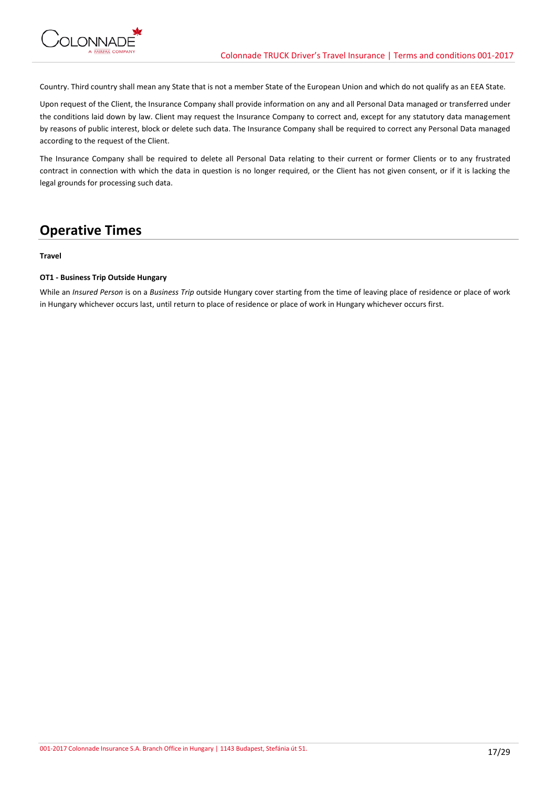Country. Third country shall mean any State that is not a member State of the European Union and which do not qualify as an EEA State.

Upon request of the Client, the Insurance Company shall provide information on any and all Personal Data managed or transferred under the conditions laid down by law. Client may request the Insurance Company to correct and, except for any statutory data management by reasons of public interest, block or delete such data. The Insurance Company shall be required to correct any Personal Data managed according to the request of the Client.

The Insurance Company shall be required to delete all Personal Data relating to their current or former Clients or to any frustrated contract in connection with which the data in question is no longer required, or the Client has not given consent, or if it is lacking the legal grounds for processing such data.

## **Operative Times**

## **Travel**

## **OT1 - Business Trip Outside Hungary**

While an *Insured Person* is on a *Business Trip* outside Hungary cover starting from the time of leaving place of residence or place of work in Hungary whichever occurs last, until return to place of residence or place of work in Hungary whichever occurs first.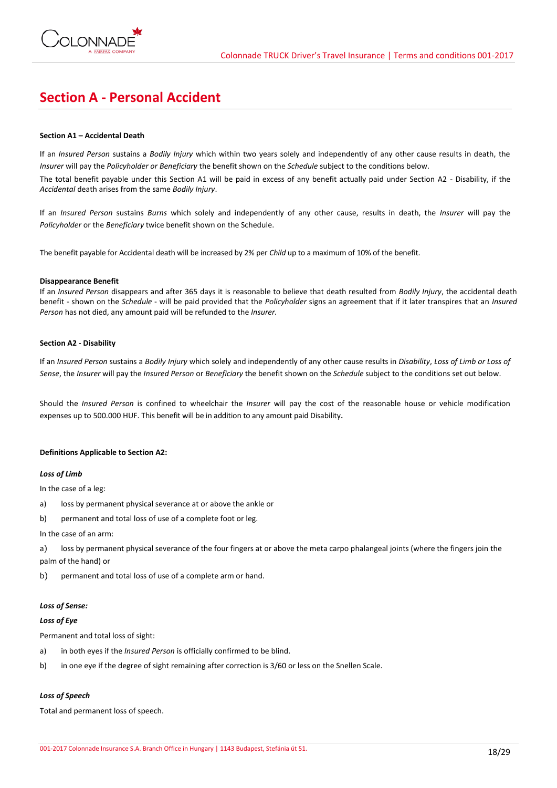

# **Section A - Personal Accident**

## **Section A1 – Accidental Death**

If an *Insured Person* sustains a *Bodily Injury* which within two years solely and independently of any other cause results in death, the *Insurer* will pay the *Policyholder or Beneficiary* the benefit shown on the *Schedule* subject to the conditions below.

The total benefit payable under this Section A1 will be paid in excess of any benefit actually paid under Section A2 - Disability, if the *Accidental* death arises from the same *Bodily Injury*.

If an *Insured Person* sustains *Burns* which solely and independently of any other cause, results in death, the *Insurer* will pay the *Policyholder* or the *Beneficiary* twice benefit shown on the Schedule.

The benefit payable for Accidental death will be increased by 2% per *Child* up to a maximum of 10% of the benefit.

### **Disappearance Benefit**

If an *Insured Person* disappears and after 365 days it is reasonable to believe that death resulted from *Bodily Injury*, the accidental death benefit - shown on the *Schedule* - will be paid provided that the *Policyholder* signs an agreement that if it later transpires that an *Insured Person* has not died, any amount paid will be refunded to the *Insurer.*

## **Section A2 - Disability**

If an *Insured Person* sustains a *Bodily Injury* which solely and independently of any other cause results in *Disability*, *Loss of Limb or Loss of Sense*, the *Insurer* will pay the *Insured Person* or *Beneficiary* the benefit shown on the *Schedule* subject to the conditions set out below.

Should the *Insured Person* is confined to wheelchair the *Insurer* will pay the cost of the reasonable house or vehicle modification expenses up to 500.000 HUF. This benefit will be in addition to any amount paid Disability.

## **Definitions Applicable to Section A2:**

## *Loss of Limb*

In the case of a leg:

- a) loss by permanent physical severance at or above the ankle or
- b) permanent and total loss of use of a complete foot or leg.

#### In the case of an arm:

a) loss by permanent physical severance of the four fingers at or above the meta carpo phalangeal joints (where the fingers join the palm of the hand) or

b) permanent and total loss of use of a complete arm or hand.

## *Loss of Sense:*

## *Loss of Eye*

Permanent and total loss of sight:

- a) in both eyes if the *Insured Person* is officially confirmed to be blind.
- b) in one eye if the degree of sight remaining after correction is 3/60 or less on the Snellen Scale.

## *Loss of Speech*

Total and permanent loss of speech.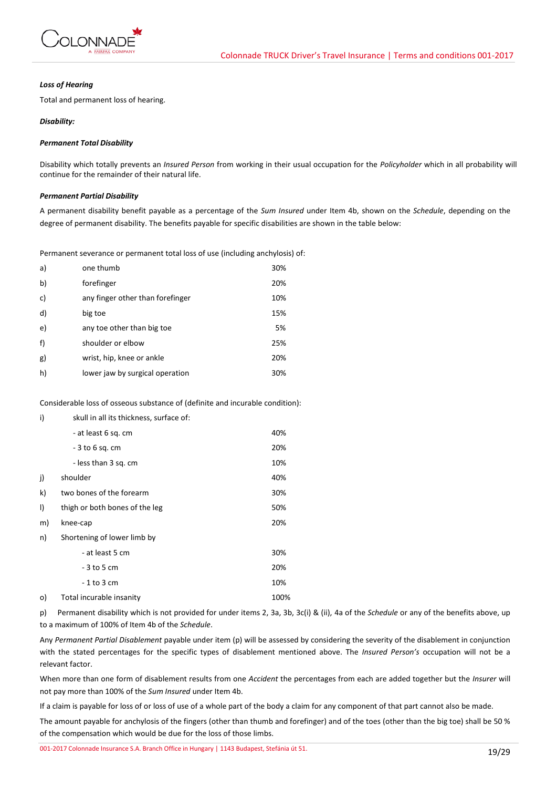

### *Loss of Hearing*

Total and permanent loss of hearing.

## *Disability:*

## *Permanent Total Disability*

Disability which totally prevents an *Insured Person* from working in their usual occupation for the *Policyholder* which in all probability will continue for the remainder of their natural life.

## *Permanent Partial Disability*

A permanent disability benefit payable as a percentage of the *Sum Insured* under Item 4b, shown on the *Schedule*, depending on the degree of permanent disability. The benefits payable for specific disabilities are shown in the table below:

Permanent severance or permanent total loss of use (including anchylosis) of:

| a) | one thumb                        | 30% |
|----|----------------------------------|-----|
| b) | forefinger                       | 20% |
| c) | any finger other than forefinger | 10% |
| d) | big toe                          | 15% |
| e) | any toe other than big toe       | 5%  |
| f) | shoulder or elbow                | 25% |
| g) | wrist, hip, knee or ankle        | 20% |
| h) | lower jaw by surgical operation  | 30% |

Considerable loss of osseous substance of (definite and incurable condition):

| i)      | skull in all its thickness, surface of: |      |
|---------|-----------------------------------------|------|
|         | - at least 6 sq. cm                     | 40%  |
|         | - 3 to 6 sq. cm                         | 20%  |
|         | - less than 3 sq. cm                    | 10%  |
| j)      | shoulder                                | 40%  |
| k)      | two bones of the forearm                | 30%  |
| $\vert$ | thigh or both bones of the leg          | 50%  |
| m)      | knee-cap                                | 20%  |
| n)      | Shortening of lower limb by             |      |
|         | - at least 5 cm                         | 30%  |
|         | - 3 to 5 cm                             | 20%  |
|         | - 1 to 3 cm                             | 10%  |
| o)      | Total incurable insanity                | 100% |

p) Permanent disability which is not provided for under items 2, 3a, 3b, 3c(i) & (ii), 4a of the *Schedule* or any of the benefits above, up to a maximum of 100% of Item 4b of the *Schedule*.

Any *Permanent Partial Disablement* payable under item (p) will be assessed by considering the severity of the disablement in conjunction with the stated percentages for the specific types of disablement mentioned above. The *Insured Person's* occupation will not be a relevant factor.

When more than one form of disablement results from one *Accident* the percentages from each are added together but the *Insurer* will not pay more than 100% of the *Sum Insured* under Item 4b.

If a claim is payable for loss of or loss of use of a whole part of the body a claim for any component of that part cannot also be made.

The amount payable for anchylosis of the fingers (other than thumb and forefinger) and of the toes (other than the big toe) shall be 50 % of the compensation which would be due for the loss of those limbs.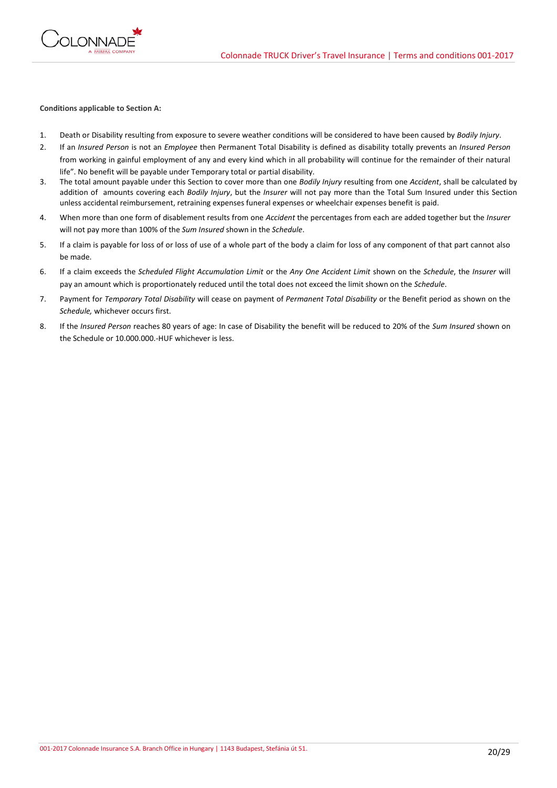

### **Conditions applicable to Section A:**

- 1. Death or Disability resulting from exposure to severe weather conditions will be considered to have been caused by *Bodily Injury*.
- 2. If an *Insured Person* is not an *Employee* then Permanent Total Disability is defined as disability totally prevents an *Insured Person* from working in gainful employment of any and every kind which in all probability will continue for the remainder of their natural life". No benefit will be payable under Temporary total or partial disability.
- 3. The total amount payable under this Section to cover more than one *Bodily Injury* resulting from one *Accident*, shall be calculated by addition of amounts covering each *Bodily Injury*, but the *Insurer* will not pay more than the Total Sum Insured under this Section unless accidental reimbursement, retraining expenses funeral expenses or wheelchair expenses benefit is paid.
- 4. When more than one form of disablement results from one *Accident* the percentages from each are added together but the *Insurer* will not pay more than 100% of the *Sum Insured* shown in the *Schedule*.
- 5. If a claim is payable for loss of or loss of use of a whole part of the body a claim for loss of any component of that part cannot also be made.
- 6. If a claim exceeds the *Scheduled Flight Accumulation Limit* or the *Any One Accident Limit* shown on the *Schedule*, the *Insurer* will pay an amount which is proportionately reduced until the total does not exceed the limit shown on the *Schedule*.
- 7. Payment for *Temporary Total Disability* will cease on payment of *Permanent Total Disability* or the Benefit period as shown on the *Schedule,* whichever occurs first.
- 8. If the *Insured Person* reaches 80 years of age: In case of Disability the benefit will be reduced to 20% of the *Sum Insured* shown on the Schedule or 10.000.000.-HUF whichever is less.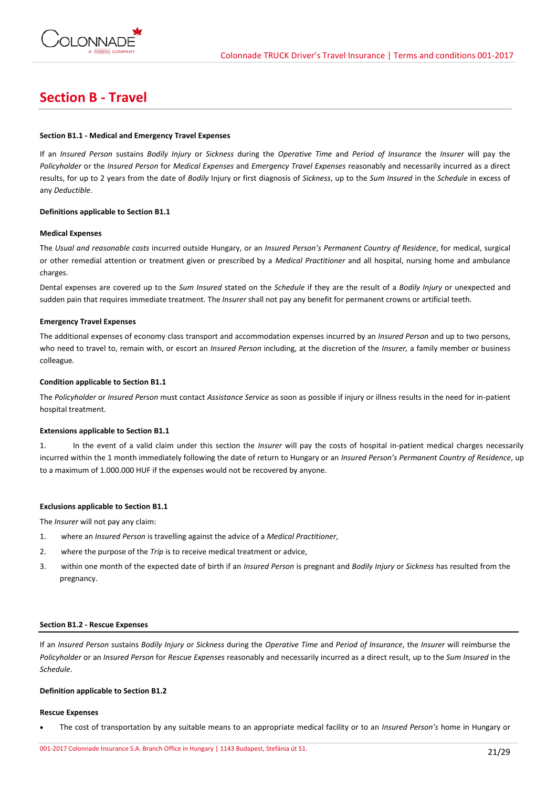

# **Section B - Travel**

## **Section B1.1 - Medical and Emergency Travel Expenses**

If an *Insured Person* sustains *Bodily Injury* or *Sickness* during the *Operative Time* and *Period of Insurance* the *Insurer* will pay the *Policyholder* or the *Insured Person* for *Medical Expenses* and *Emergency Travel Expenses* reasonably and necessarily incurred as a direct results, for up to 2 years from the date of *Bodily* Injury or first diagnosis of *Sickness*, up to the *Sum Insured* in the *Schedule* in excess of any *Deductible*.

## **Definitions applicable to Section B1.1**

### **Medical Expenses**

The *Usual and reasonable costs* incurred outside Hungary, or an *Insured Person's Permanent Country of Residence*, for medical, surgical or other remedial attention or treatment given or prescribed by a *Medical Practitioner* and all hospital, nursing home and ambulance charges.

Dental expenses are covered up to the *Sum Insured* stated on the *Schedule* if they are the result of a *Bodily Injury* or unexpected and sudden pain that requires immediate treatment*.* The *Insurer* shall not pay any benefit for permanent crowns or artificial teeth.

### **Emergency Travel Expenses**

The additional expenses of economy class transport and accommodation expenses incurred by an *Insured Person* and up to two persons, who need to travel to, remain with, or escort an *Insured Person* including, at the discretion of the *Insurer,* a family member or business colleague*.*

### **Condition applicable to Section B1.1**

The *Policyholder* or *Insured Person* must contact *Assistance Service* as soon as possible if injury or illness results in the need for in-patient hospital treatment.

## **Extensions applicable to Section B1.1**

1. In the event of a valid claim under this section the *Insurer* will pay the costs of hospital in-patient medical charges necessarily incurred within the 1 month immediately following the date of return to Hungary or an *Insured Person's Permanent Country of Residence*, up to a maximum of 1.000.000 HUF if the expenses would not be recovered by anyone.

## **Exclusions applicable to Section B1.1**

The *Insurer* will not pay any claim:

- 1. where an *Insured Person* is travelling against the advice of a *Medical Practitioner*,
- 2. where the purpose of the *Trip* is to receive medical treatment or advice,
- 3. within one month of the expected date of birth if an *Insured Person* is pregnant and *Bodily Injury* or *Sickness* has resulted from the pregnancy.

### **Section B1.2 - Rescue Expenses**

If an *Insured Person* sustains *Bodily Injury* or *Sickness* during the *Operative Time* and *Period of Insurance*, the *Insurer* will reimburse the *Policyholder* or an *Insured Person* for *Rescue Expenses* reasonably and necessarily incurred as a direct result, up to the *Sum Insured* in the *Schedule*.

#### **Definition applicable to Section B1.2**

#### **Rescue Expenses**

The cost of transportation by any suitable means to an appropriate medical facility or to an *Insured Person's* home in Hungary or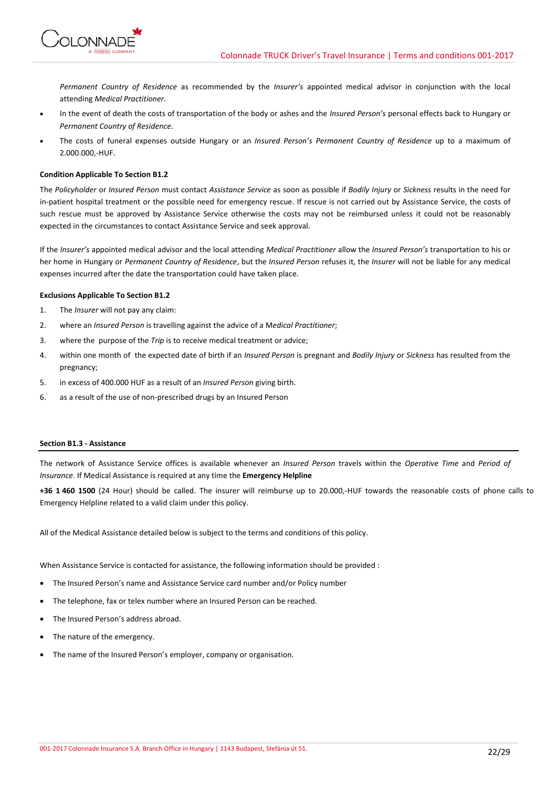

*Permanent Country of Residence* as recommended by the *Insurer's* appointed medical advisor in conjunction with the local attending *Medical Practitioner.*

- In the event of death the costs of transportation of the body or ashes and the *Insured Person's* personal effects back to Hungary or *Permanent Country of Residence*.
- The costs of funeral expenses outside Hungary or an *Insured Person's Permanent Country of Residence* up to a maximum of 2.000.000,-HUF.

## **Condition Applicable To Section B1.2**

The *Policyholder* or *Insured Person* must contact *Assistance Service* as soon as possible if *Bodily Injury* or *Sickness* results in the need for in-patient hospital treatment or the possible need for emergency rescue. If rescue is not carried out by Assistance Service, the costs of such rescue must be approved by Assistance Service otherwise the costs may not be reimbursed unless it could not be reasonably expected in the circumstances to contact Assistance Service and seek approval.

If the *Insurer's* appointed medical advisor and the local attending *Medical Practitioner* allow the *Insured Person's* transportation to his or her home in Hungary or *Permanent Country of Residence*, but the *Insured Person* refuses it, the *Insurer* will not be liable for any medical expenses incurred after the date the transportation could have taken place.

## **Exclusions Applicable To Section B1.2**

- 1. The *Insurer* will not pay any claim:
- 2. where an *Insured Person* is travelling against the advice of a M*edical Practitioner*;
- 3. where the purpose of the *Trip* is to receive medical treatment or advice;
- 4. within one month of the expected date of birth if an *Insured Person* is pregnant and *Bodily Injury* or *Sickness* has resulted from the pregnancy;
- 5. in excess of 400.000 HUF as a result of an *Insured Person* giving birth.
- 6. as a result of the use of non-prescribed drugs by an Insured Person

## **Section B1.3 - Assistance**

The network of Assistance Service offices is available whenever an *Insured Person* travels within the *Operative Time* and *Period of Insurance*. If Medical Assistance is required at any time the **Emergency Helpline**

**+36 1 460 1500** (24 Hour) should be called. The insurer will reimburse up to 20.000,-HUF towards the reasonable costs of phone calls to Emergency Helpline related to a valid claim under this policy.

All of the Medical Assistance detailed below is subject to the terms and conditions of this policy.

When Assistance Service is contacted for assistance, the following information should be provided :

- The Insured Person's name and Assistance Service card number and/or Policy number
- The telephone, fax or telex number where an Insured Person can be reached.
- The Insured Person's address abroad.
- The nature of the emergency.
- The name of the Insured Person's employer, company or organisation.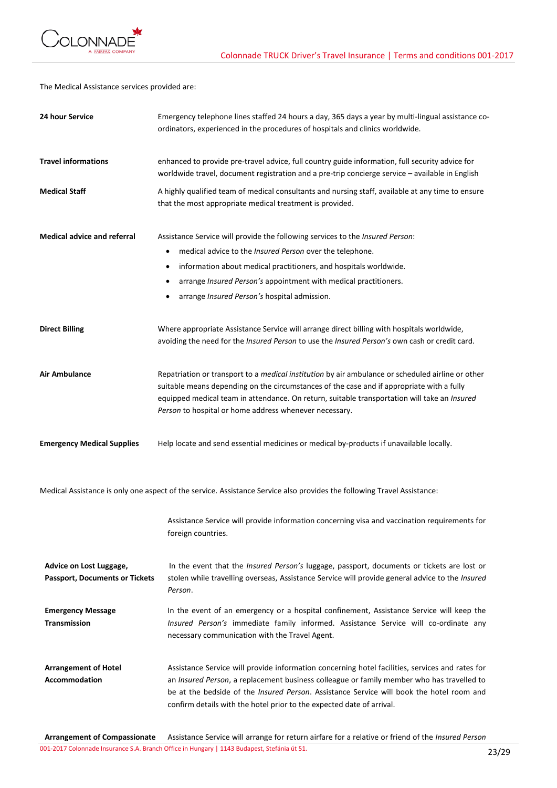

The Medical Assistance services provided are:

| 24 hour Service                                                  | Emergency telephone lines staffed 24 hours a day, 365 days a year by multi-lingual assistance co-<br>ordinators, experienced in the procedures of hospitals and clinics worldwide.                                                                                                                                                                                        |
|------------------------------------------------------------------|---------------------------------------------------------------------------------------------------------------------------------------------------------------------------------------------------------------------------------------------------------------------------------------------------------------------------------------------------------------------------|
| <b>Travel informations</b>                                       | enhanced to provide pre-travel advice, full country guide information, full security advice for<br>worldwide travel, document registration and a pre-trip concierge service - available in English                                                                                                                                                                        |
| <b>Medical Staff</b>                                             | A highly qualified team of medical consultants and nursing staff, available at any time to ensure<br>that the most appropriate medical treatment is provided.                                                                                                                                                                                                             |
| <b>Medical advice and referral</b>                               | Assistance Service will provide the following services to the <i>Insured Person</i> :<br>medical advice to the Insured Person over the telephone.<br>information about medical practitioners, and hospitals worldwide.<br>٠<br>arrange Insured Person's appointment with medical practitioners.<br>arrange Insured Person's hospital admission.                           |
| <b>Direct Billing</b>                                            | Where appropriate Assistance Service will arrange direct billing with hospitals worldwide,<br>avoiding the need for the Insured Person to use the Insured Person's own cash or credit card.                                                                                                                                                                               |
| <b>Air Ambulance</b>                                             | Repatriation or transport to a medical institution by air ambulance or scheduled airline or other<br>suitable means depending on the circumstances of the case and if appropriate with a fully<br>equipped medical team in attendance. On return, suitable transportation will take an Insured<br>Person to hospital or home address whenever necessary.                  |
| <b>Emergency Medical Supplies</b>                                | Help locate and send essential medicines or medical by-products if unavailable locally.                                                                                                                                                                                                                                                                                   |
|                                                                  | Medical Assistance is only one aspect of the service. Assistance Service also provides the following Travel Assistance:                                                                                                                                                                                                                                                   |
|                                                                  | Assistance Service will provide information concerning visa and vaccination requirements for<br>foreign countries.                                                                                                                                                                                                                                                        |
| Advice on Lost Luggage,<br><b>Passport, Documents or Tickets</b> | In the event that the Insured Person's luggage, passport, documents or tickets are lost or<br>stolen while travelling overseas, Assistance Service will provide general advice to the Insured<br>Person.                                                                                                                                                                  |
| <b>Emergency Message</b><br><b>Transmission</b>                  | In the event of an emergency or a hospital confinement, Assistance Service will keep the<br>Insured Person's immediate family informed. Assistance Service will co-ordinate any<br>necessary communication with the Travel Agent.                                                                                                                                         |
| <b>Arrangement of Hotel</b><br><b>Accommodation</b>              | Assistance Service will provide information concerning hotel facilities, services and rates for<br>an Insured Person, a replacement business colleague or family member who has travelled to<br>be at the bedside of the <i>Insured Person</i> . Assistance Service will book the hotel room and<br>confirm details with the hotel prior to the expected date of arrival. |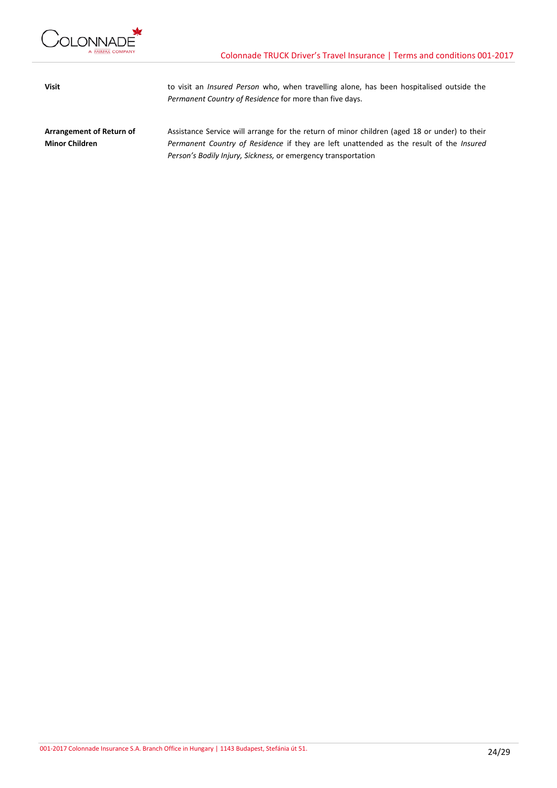

**Visit** to visit an *Insured Person* who, when travelling alone, has been hospitalised outside the *Permanent Country of Residence* for more than five days.

**Arrangement of Return of Minor Children** Assistance Service will arrange for the return of minor children (aged 18 or under) to their *Permanent Country of Residence* if they are left unattended as the result of the *Insured Person's Bodily Injury, Sickness,* or emergency transportation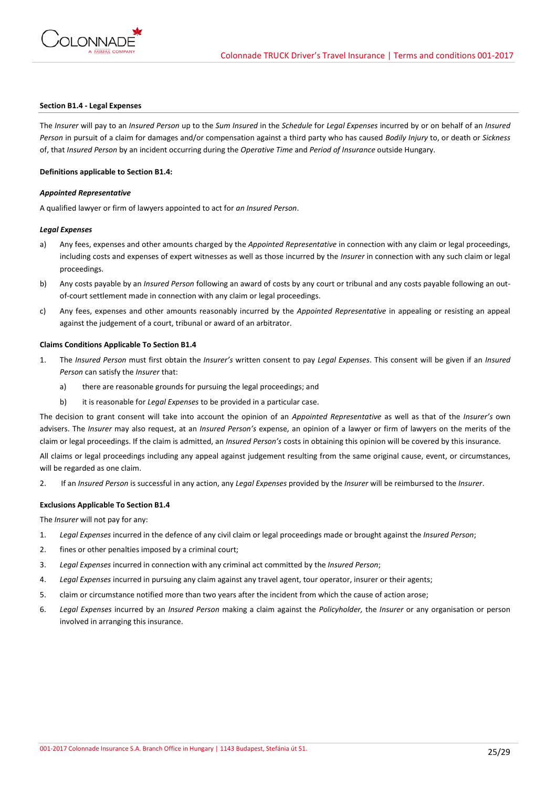

### **Section B1.4 - Legal Expenses**

The *Insurer* will pay to an *Insured Person* up to the *Sum Insured* in the *Schedule* for *Legal Expenses* incurred by or on behalf of an *Insured Person* in pursuit of a claim for damages and/or compensation against a third party who has caused *Bodily Injury* to, or death or *Sickness* of, that *Insured Person* by an incident occurring during the *Operative Time* and *Period of Insurance* outside Hungary.

#### **Definitions applicable to Section B1.4:**

#### *Appointed Representative*

A qualified lawyer or firm of lawyers appointed to act for *an Insured Person*.

### *Legal Expenses*

- a) Any fees, expenses and other amounts charged by the *Appointed Representative* in connection with any claim or legal proceedings, including costs and expenses of expert witnesses as well as those incurred by the *Insurer* in connection with any such claim or legal proceedings.
- b) Any costs payable by an *Insured Person* following an award of costs by any court or tribunal and any costs payable following an outof-court settlement made in connection with any claim or legal proceedings.
- c) Any fees, expenses and other amounts reasonably incurred by the *Appointed Representative* in appealing or resisting an appeal against the judgement of a court, tribunal or award of an arbitrator.

## **Claims Conditions Applicable To Section B1.4**

- 1. The *Insured Person* must first obtain the *Insurer's* written consent to pay *Legal Expenses*. This consent will be given if an *Insured Person* can satisfy the *Insurer* that:
	- a) there are reasonable grounds for pursuing the legal proceedings; and
	- b) it is reasonable for *Legal Expenses* to be provided in a particular case.

The decision to grant consent will take into account the opinion of an *Appointed Representative* as well as that of the *Insurer's* own advisers. The *Insurer* may also request, at an *Insured Person's* expense, an opinion of a lawyer or firm of lawyers on the merits of the claim or legal proceedings. If the claim is admitted, an *Insured Person's* costs in obtaining this opinion will be covered by this insurance.

All claims or legal proceedings including any appeal against judgement resulting from the same original cause, event, or circumstances, will be regarded as one claim.

2. If an *Insured Person* is successful in any action, any *Legal Expenses* provided by the *Insurer* will be reimbursed to the *Insurer*.

#### **Exclusions Applicable To Section B1.4**

The *Insurer* will not pay for any:

- 1. *Legal Expenses* incurred in the defence of any civil claim or legal proceedings made or brought against the *Insured Person*;
- 2. fines or other penalties imposed by a criminal court;
- 3. *Legal Expenses* incurred in connection with any criminal act committed by the *Insured Person*;
- 4. *Legal Expenses* incurred in pursuing any claim against any travel agent, tour operator, insurer or their agents;
- 5. claim or circumstance notified more than two years after the incident from which the cause of action arose;
- 6. *Legal Expenses* incurred by an *Insured Person* making a claim against the *Policyholder,* the *Insurer* or any organisation or person involved in arranging this insurance.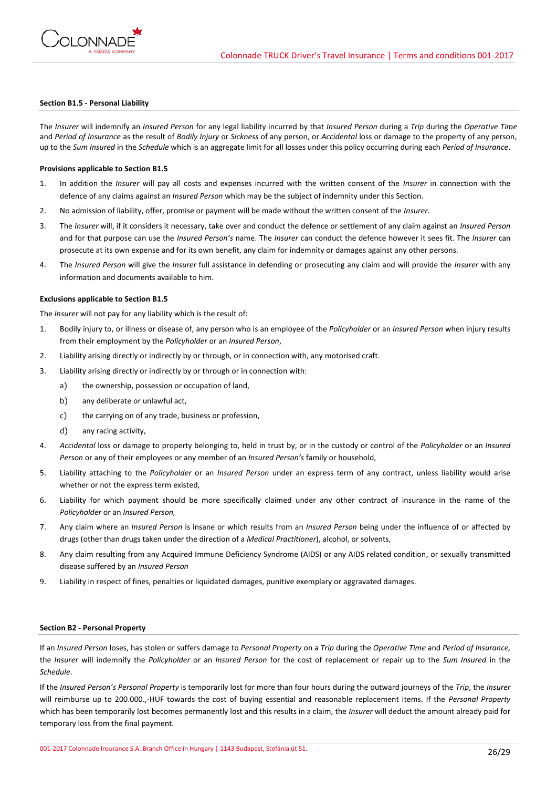

#### **Section B1.5 - Personal Liability**

The *Insurer* will indemnify an *Insured Person* for any legal liability incurred by that *Insured Person* during a *Trip* during the *Operative Time*  and *Period of Insurance* as the result of *Bodily Injury* or *Sickness* of any person, or *Accidental* loss or damage to the property of any person, up to the *Sum Insured* in the *Schedule* which is an aggregate limit for all losses under this policy occurring during each *Period of Insurance*.

### **Provisions applicable to Section B1.5**

- 1. In addition the *Insurer* will pay all costs and expenses incurred with the written consent of the *Insurer* in connection with the defence of any claims against an *Insured Person* which may be the subject of indemnity under this Section.
- 2. No admission of liability, offer, promise or payment will be made without the written consent of the *Insurer*.
- 3. The *Insurer* will, if it considers it necessary, take over and conduct the defence or settlement of any claim against an *Insured Person* and for that purpose can use the *Insured Person's* name. The *Insurer* can conduct the defence however it sees fit. The *Insurer* can prosecute at its own expense and for its own benefit, any claim for indemnity or damages against any other persons.
- 4. The *Insured Person* will give the *Insurer* full assistance in defending or prosecuting any claim and will provide the *Insurer* with any information and documents available to him.

#### **Exclusions applicable to Section B1.5**

The *Insurer* will not pay for any liability which is the result of:

- 1. Bodily injury to, or illness or disease of, any person who is an employee of the *Policyholder* or an *Insured Person* when injury results from their employment by the *Policyholder* or an *Insured Person*,
- 2. Liability arising directly or indirectly by or through, or in connection with, any motorised craft.
- 3. Liability arising directly or indirectly by or through or in connection with:
	- a) the ownership, possession or occupation of land,
	- b) any deliberate or unlawful act,
	- c) the carrying on of any trade, business or profession,
	- d) any racing activity,
- 4. *Accidental* loss or damage to property belonging to, held in trust by, or in the custody or control of the *Policyholder* or an *Insured Person* or any of their employees or any member of an *Insured Person's* family or household,
- 5. Liability attaching to the *Policyholder* or an *Insured Person* under an express term of any contract, unless liability would arise whether or not the express term existed,
- 6. Liability for which payment should be more specifically claimed under any other contract of insurance in the name of the *Policyholder* or an *Insured Person,*
- 7. Any claim where an *Insured Person* is insane or which results from an *Insured Person* being under the influence of or affected by drugs (other than drugs taken under the direction of a *Medical Practitioner*), alcohol, or solvents,
- 8. Any claim resulting from any Acquired Immune Deficiency Syndrome (AIDS) or any AIDS related condition, or sexually transmitted disease suffered by an *Insured Person*
- 9. Liability in respect of fines, penalties or liquidated damages, punitive exemplary or aggravated damages.

#### **Section B2 - Personal Property**

If an *Insured Person* loses, has stolen or suffers damage to *Personal Property* on a *Trip* during the *Operative Time* and *Period of Insurance,* the *Insurer* will indemnify the *Policyholder* or an *Insured Person* for the cost of replacement or repair up to the *Sum Insured* in the *Schedule*.

If the *Insured Person's Personal Property* is temporarily lost for more than four hours during the outward journeys of the *Trip*, the *Insurer* will reimburse up to 200.000.,-HUF towards the cost of buying essential and reasonable replacement items. If the *Personal Property* which has been temporarily lost becomes permanently lost and this results in a claim, the *Insurer* will deduct the amount already paid for temporary loss from the final payment.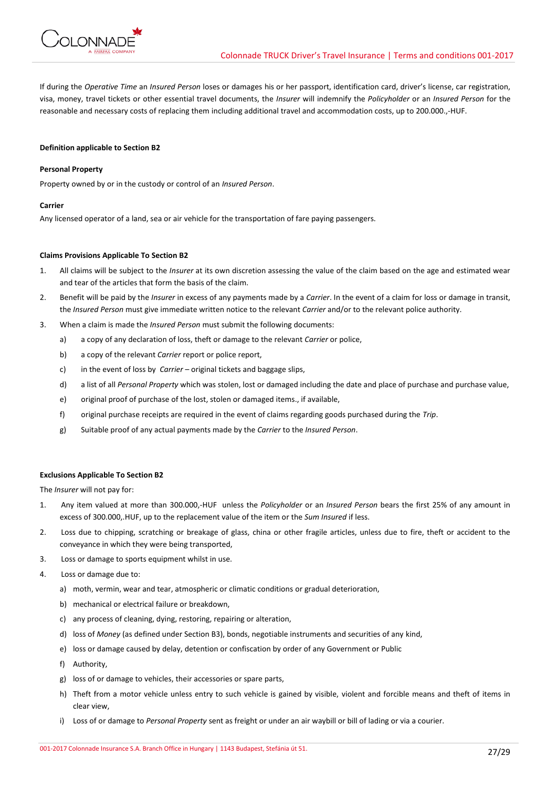

If during the *Operative Time* an *Insured Person* loses or damages his or her passport, identification card, driver's license, car registration, visa, money, travel tickets or other essential travel documents, the *Insurer* will indemnify the *Policyholder* or an *Insured Person* for the reasonable and necessary costs of replacing them including additional travel and accommodation costs, up to 200.000.,-HUF.

## **Definition applicable to Section B2**

## **Personal Property**

Property owned by or in the custody or control of an *Insured Person*.

### **Carrier**

Any licensed operator of a land, sea or air vehicle for the transportation of fare paying passengers.

### **Claims Provisions Applicable To Section B2**

- 1. All claims will be subject to the *Insurer* at its own discretion assessing the value of the claim based on the age and estimated wear and tear of the articles that form the basis of the claim.
- 2. Benefit will be paid by the *Insurer* in excess of any payments made by a *Carrier*. In the event of a claim for loss or damage in transit, the *Insured Person* must give immediate written notice to the relevant *Carrier* and/or to the relevant police authority.
- 3. When a claim is made the *Insured Person* must submit the following documents:
	- a) a copy of any declaration of loss, theft or damage to the relevant *Carrier* or police,
	- b) a copy of the relevant *Carrier* report or police report,
	- c) in the event of loss by *Carrier*  original tickets and baggage slips,
	- d) a list of all *Personal Property* which was stolen, lost or damaged including the date and place of purchase and purchase value,
	- e) original proof of purchase of the lost, stolen or damaged items., if available,
	- f) original purchase receipts are required in the event of claims regarding goods purchased during the *Trip*.
	- g) Suitable proof of any actual payments made by the *Carrier* to the *Insured Person*.

### **Exclusions Applicable To Section B2**

The *Insurer* will not pay for:

- 1. Any item valued at more than 300.000,-HUF unless the *Policyholder* or an *Insured Person* bears the first 25% of any amount in excess of 300.000,.HUF, up to the replacement value of the item or the *Sum Insured* if less.
- 2. Loss due to chipping, scratching or breakage of glass, china or other fragile articles, unless due to fire, theft or accident to the conveyance in which they were being transported,
- 3. Loss or damage to sports equipment whilst in use.
- 4. Loss or damage due to:
	- a) moth, vermin, wear and tear, atmospheric or climatic conditions or gradual deterioration,
	- b) mechanical or electrical failure or breakdown,
	- c) any process of cleaning, dying, restoring, repairing or alteration,
	- d) loss of *Money* (as defined under Section B3), bonds, negotiable instruments and securities of any kind,
	- e) loss or damage caused by delay, detention or confiscation by order of any Government or Public
	- f) Authority,
	- g) loss of or damage to vehicles, their accessories or spare parts,
	- h) Theft from a motor vehicle unless entry to such vehicle is gained by visible, violent and forcible means and theft of items in clear view,
	- i) Loss of or damage to *Personal Property* sent as freight or under an air waybill or bill of lading or via a courier.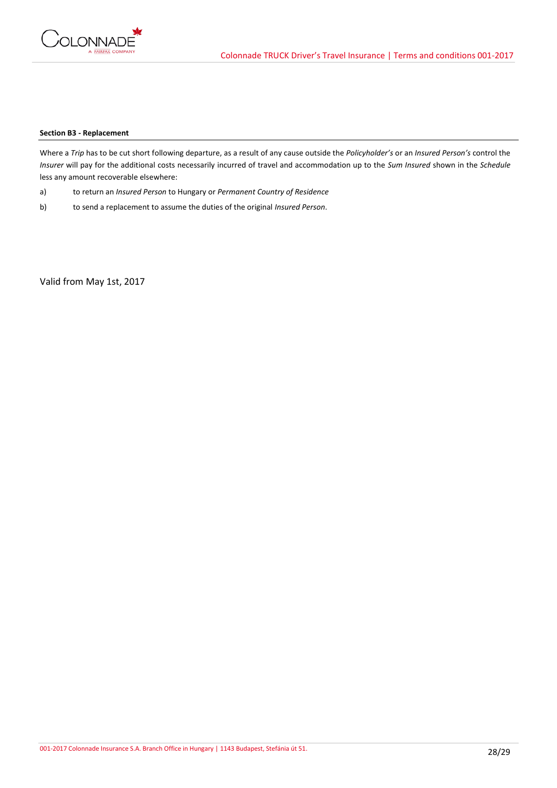

## **Section B3 - Replacement**

Where a *Trip* has to be cut short following departure, as a result of any cause outside the *Policyholder's* or an *Insured Person's* control the *Insurer* will pay for the additional costs necessarily incurred of travel and accommodation up to the *Sum Insured* shown in the *Schedule* less any amount recoverable elsewhere:

- a) to return an *Insured Person* to Hungary or *Permanent Country of Residence*
- b) to send a replacement to assume the duties of the original *Insured Person*.

Valid from May 1st, 2017